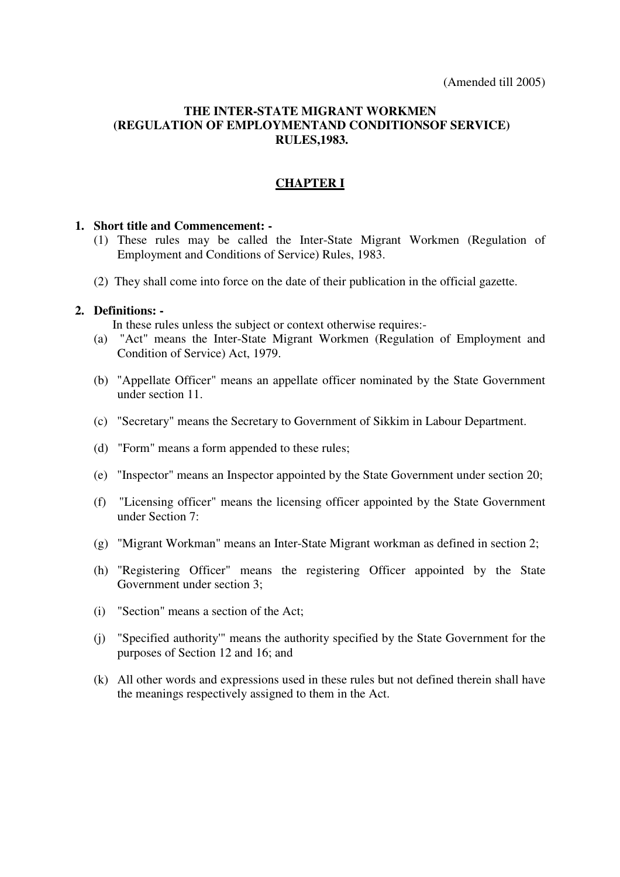#### **THE INTER-STATE MIGRANT WORKMEN (REGULATION OF EMPLOYMENTAND CONDITIONSOF SERVICE) RULES,1983.**

#### **CHAPTER I**

#### **1. Short title and Commencement: -**

- (1) These rules may be called the Inter-State Migrant Workmen (Regulation of Employment and Conditions of Service) Rules, 1983.
- (2) They shall come into force on the date of their publication in the official gazette.

#### **2. Definitions: -**

In these rules unless the subject or context otherwise requires:-

- (a) "Act" means the Inter-State Migrant Workmen (Regulation of Employment and Condition of Service) Act, 1979.
- (b) "Appellate Officer" means an appellate officer nominated by the State Government under section 11.
- (c) "Secretary" means the Secretary to Government of Sikkim in Labour Department.
- (d) "Form" means a form appended to these rules;
- (e) "Inspector" means an Inspector appointed by the State Government under section 20;
- (f) "Licensing officer" means the licensing officer appointed by the State Government under Section 7:
- (g) "Migrant Workman" means an Inter-State Migrant workman as defined in section 2;
- (h) "Registering Officer" means the registering Officer appointed by the State Government under section 3;
- (i) "Section" means a section of the Act;
- (j) "Specified authority'" means the authority specified by the State Government for the purposes of Section 12 and 16; and
- (k) All other words and expressions used in these rules but not defined therein shall have the meanings respectively assigned to them in the Act.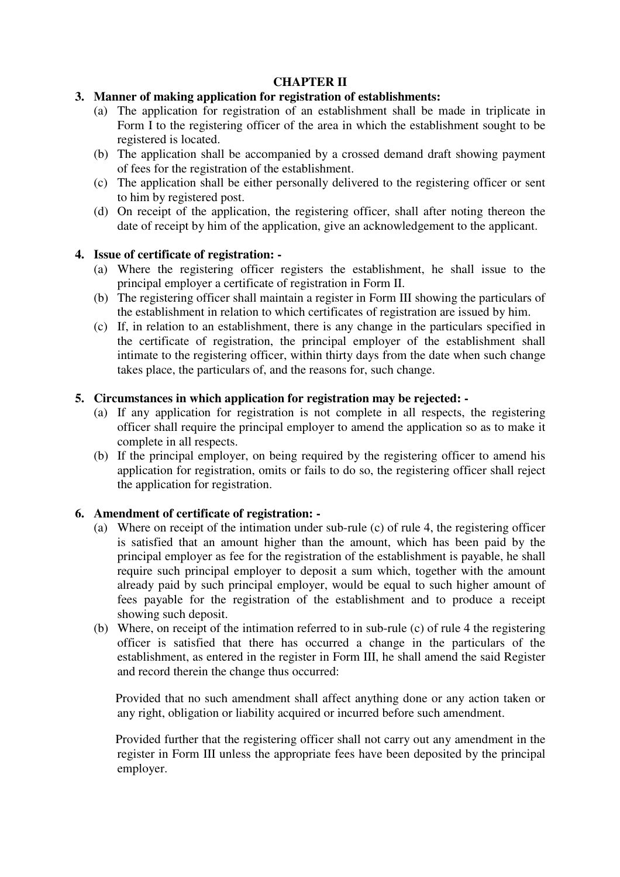#### **CHAPTER II**

#### **3. Manner of making application for registration of establishments:**

- (a) The application for registration of an establishment shall be made in triplicate in Form I to the registering officer of the area in which the establishment sought to be registered is located.
- (b) The application shall be accompanied by a crossed demand draft showing payment of fees for the registration of the establishment.
- (c) The application shall be either personally delivered to the registering officer or sent to him by registered post.
- (d) On receipt of the application, the registering officer, shall after noting thereon the date of receipt by him of the application, give an acknowledgement to the applicant.

#### **4. Issue of certificate of registration: -**

- (a) Where the registering officer registers the establishment, he shall issue to the principal employer a certificate of registration in Form II.
- (b) The registering officer shall maintain a register in Form III showing the particulars of the establishment in relation to which certificates of registration are issued by him.
- (c) If, in relation to an establishment, there is any change in the particulars specified in the certificate of registration, the principal employer of the establishment shall intimate to the registering officer, within thirty days from the date when such change takes place, the particulars of, and the reasons for, such change.

#### **5. Circumstances in which application for registration may be rejected: -**

- (a) If any application for registration is not complete in all respects, the registering officer shall require the principal employer to amend the application so as to make it complete in all respects.
- (b) If the principal employer, on being required by the registering officer to amend his application for registration, omits or fails to do so, the registering officer shall reject the application for registration.

#### **6. Amendment of certificate of registration: -**

- (a) Where on receipt of the intimation under sub-rule (c) of rule 4, the registering officer is satisfied that an amount higher than the amount, which has been paid by the principal employer as fee for the registration of the establishment is payable, he shall require such principal employer to deposit a sum which, together with the amount already paid by such principal employer, would be equal to such higher amount of fees payable for the registration of the establishment and to produce a receipt showing such deposit.
- (b) Where, on receipt of the intimation referred to in sub-rule (c) of rule 4 the registering officer is satisfied that there has occurred a change in the particulars of the establishment, as entered in the register in Form III, he shall amend the said Register and record therein the change thus occurred:

 Provided that no such amendment shall affect anything done or any action taken or any right, obligation or liability acquired or incurred before such amendment.

 Provided further that the registering officer shall not carry out any amendment in the register in Form III unless the appropriate fees have been deposited by the principal employer.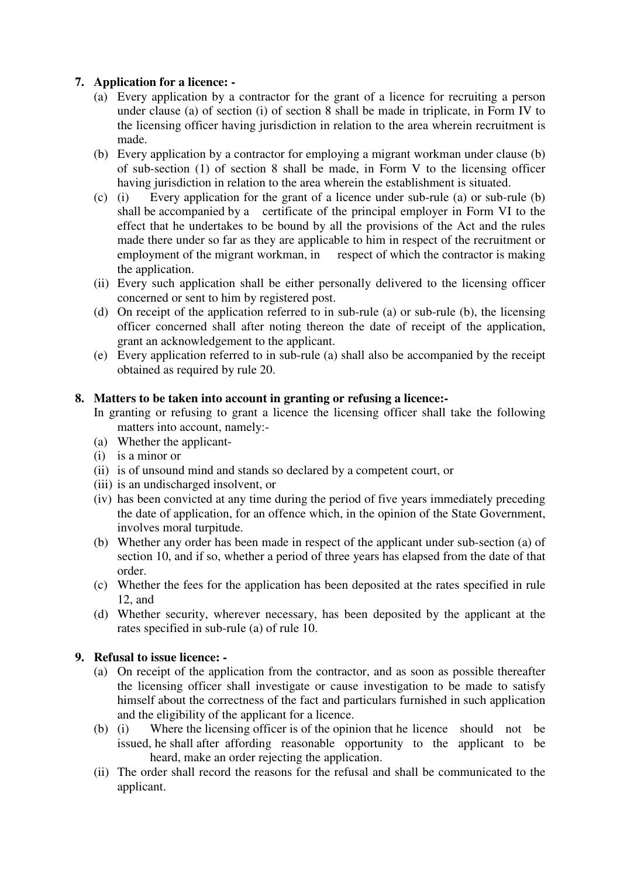## **7. Application for a licence: -**

- (a) Every application by a contractor for the grant of a licence for recruiting a person under clause (a) of section (i) of section 8 shall be made in triplicate, in Form IV to the licensing officer having jurisdiction in relation to the area wherein recruitment is made.
- (b) Every application by a contractor for employing a migrant workman under clause (b) of sub-section (1) of section 8 shall be made, in Form V to the licensing officer having jurisdiction in relation to the area wherein the establishment is situated.
- (c) (i) Every application for the grant of a licence under sub-rule (a) or sub-rule (b) shall be accompanied by a certificate of the principal employer in Form VI to the effect that he undertakes to be bound by all the provisions of the Act and the rules made there under so far as they are applicable to him in respect of the recruitment or employment of the migrant workman, in respect of which the contractor is making the application.
- (ii) Every such application shall be either personally delivered to the licensing officer concerned or sent to him by registered post.
- (d) On receipt of the application referred to in sub-rule (a) or sub-rule (b), the licensing officer concerned shall after noting thereon the date of receipt of the application, grant an acknowledgement to the applicant.
- (e) Every application referred to in sub-rule (a) shall also be accompanied by the receipt obtained as required by rule 20.

#### **8. Matters to be taken into account in granting or refusing a licence:-**

- In granting or refusing to grant a licence the licensing officer shall take the following matters into account, namely:-
- (a) Whether the applicant-
- (i) is a minor or
- (ii) is of unsound mind and stands so declared by a competent court, or
- (iii) is an undischarged insolvent, or
- (iv) has been convicted at any time during the period of five years immediately preceding the date of application, for an offence which, in the opinion of the State Government, involves moral turpitude.
- (b) Whether any order has been made in respect of the applicant under sub-section (a) of section 10, and if so, whether a period of three years has elapsed from the date of that order.
- (c) Whether the fees for the application has been deposited at the rates specified in rule 12, and
- (d) Whether security, wherever necessary, has been deposited by the applicant at the rates specified in sub-rule (a) of rule 10.

#### **9. Refusal to issue licence: -**

- (a) On receipt of the application from the contractor, and as soon as possible thereafter the licensing officer shall investigate or cause investigation to be made to satisfy himself about the correctness of the fact and particulars furnished in such application and the eligibility of the applicant for a licence.
- (b) (i) Where the licensing officer is of the opinion that he licence should not be issued, he shall after affording reasonable opportunity to the applicant to be heard, make an order rejecting the application.
- (ii) The order shall record the reasons for the refusal and shall be communicated to the applicant.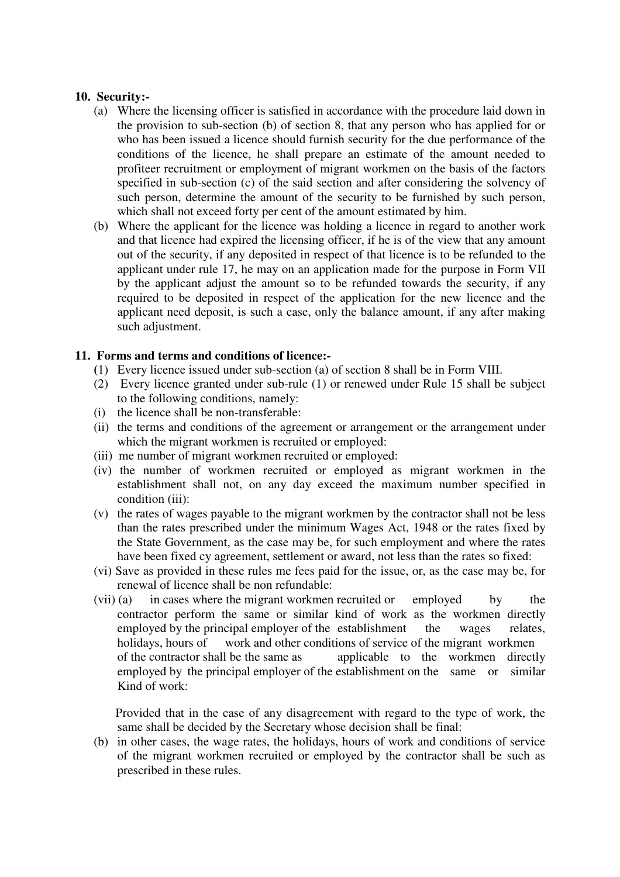#### **10. Security:-**

- (a) Where the licensing officer is satisfied in accordance with the procedure laid down in the provision to sub-section (b) of section 8, that any person who has applied for or who has been issued a licence should furnish security for the due performance of the conditions of the licence, he shall prepare an estimate of the amount needed to profiteer recruitment or employment of migrant workmen on the basis of the factors specified in sub-section (c) of the said section and after considering the solvency of such person, determine the amount of the security to be furnished by such person, which shall not exceed forty per cent of the amount estimated by him.
- (b) Where the applicant for the licence was holding a licence in regard to another work and that licence had expired the licensing officer, if he is of the view that any amount out of the security, if any deposited in respect of that licence is to be refunded to the applicant under rule 17, he may on an application made for the purpose in Form VII by the applicant adjust the amount so to be refunded towards the security, if any required to be deposited in respect of the application for the new licence and the applicant need deposit, is such a case, only the balance amount, if any after making such adjustment.

#### **11. Forms and terms and conditions of licence:-**

- **(**1) Every licence issued under sub-section (a) of section 8 shall be in Form VIII.
- (2) Every licence granted under sub-rule (1) or renewed under Rule 15 shall be subject to the following conditions, namely:
- (i) the licence shall be non-transferable:
- (ii) the terms and conditions of the agreement or arrangement or the arrangement under which the migrant workmen is recruited or employed:
- (iii) me number of migrant workmen recruited or employed:
- (iv) the number of workmen recruited or employed as migrant workmen in the establishment shall not, on any day exceed the maximum number specified in condition (iii):
- (v) the rates of wages payable to the migrant workmen by the contractor shall not be less than the rates prescribed under the minimum Wages Act, 1948 or the rates fixed by the State Government, as the case may be, for such employment and where the rates have been fixed cy agreement, settlement or award, not less than the rates so fixed:
- (vi) Save as provided in these rules me fees paid for the issue, or, as the case may be, for renewal of licence shall be non refundable:
- (vii) (a) in cases where the migrant workmen recruited or employed by the contractor perform the same or similar kind of work as the workmen directly employed by the principal employer of the establishment the wages relates, holidays, hours of work and other conditions of service of the migrant workmen of the contractor shall be the same as applicable to the workmen directly employed by the principal employer of the establishment on the same or similar Kind of work:

 Provided that in the case of any disagreement with regard to the type of work, the same shall be decided by the Secretary whose decision shall be final:

(b) in other cases, the wage rates, the holidays, hours of work and conditions of service of the migrant workmen recruited or employed by the contractor shall be such as prescribed in these rules.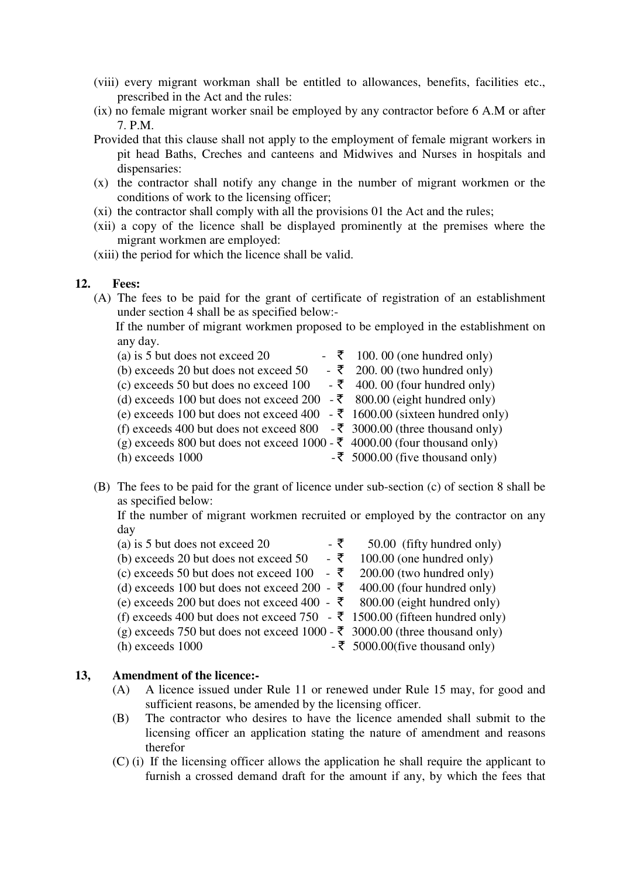- (viii) every migrant workman shall be entitled to allowances, benefits, facilities etc., prescribed in the Act and the rules:
- (ix) no female migrant worker snail be employed by any contractor before 6 A.M or after 7. P.M.
- Provided that this clause shall not apply to the employment of female migrant workers in pit head Baths, Creches and canteens and Midwives and Nurses in hospitals and dispensaries:
- (x) the contractor shall notify any change in the number of migrant workmen or the conditions of work to the licensing officer;
- (xi) the contractor shall comply with all the provisions 01 the Act and the rules;
- (xii) a copy of the licence shall be displayed prominently at the premises where the migrant workmen are employed:
- (xiii) the period for which the licence shall be valid.

#### **12. Fees:**

(A) The fees to be paid for the grant of certificate of registration of an establishment under section 4 shall be as specified below:-

 If the number of migrant workmen proposed to be employed in the establishment on any day.

| (a) is 5 but does not exceed 20                                                       | $\overline{\xi}$ 100.00 (one hundred only)   |
|---------------------------------------------------------------------------------------|----------------------------------------------|
| (b) exceeds 20 but does not exceed 50                                                 | - $\bar{\xi}$ 200.00 (two hundred only)      |
| (c) exceeds 50 but does no exceed 100                                                 | $-5$ 400.00 (four hundred only)              |
| (d) exceeds 100 but does not exceed 200 $-$ ₹ 800.00 (eight hundred only)             |                                              |
| (e) exceeds 100 but does not exceed 400 $\bar{\xi}$ 1600.00 (sixteen hundred only)    |                                              |
| (f) exceeds 400 but does not exceed 800 $-\overline{5}$ 3000.00 (three thousand only) |                                              |
| (g) exceeds 800 but does not exceed 1000 - ₹ 4000.00 (four thousand only)             |                                              |
| $(h)$ exceeds 1000                                                                    | $-\overline{5}$ 5000.00 (five thousand only) |

(B) The fees to be paid for the grant of licence under sub-section (c) of section 8 shall be as specified below:

If the number of migrant workmen recruited or employed by the contractor on any day

| (a) is 5 but does not exceed 20                                                               | - ₹ | 50.00 (fifty hundred only)                  |
|-----------------------------------------------------------------------------------------------|-----|---------------------------------------------|
| (b) exceeds 20 but does not exceed 50                                                         | - ₹ | 100.00 (one hundred only)                   |
| (c) exceeds 50 but does not exceed 100                                                        | - र | 200.00 (two hundred only)                   |
| (d) exceeds 100 but does not exceed 200 - ₹                                                   |     | 400.00 (four hundred only)                  |
| (e) exceeds 200 but does not exceed 400 - ₹ 800.00 (eight hundred only)                       |     |                                             |
| (f) exceeds 400 but does not exceed 750 $\cdot \overline{\xi}$ 1500.00 (fifteen hundred only) |     |                                             |
| (g) exceeds 750 but does not exceed 1000 - ₹ 3000.00 (three thousand only)                    |     |                                             |
| $(h)$ exceeds $1000$                                                                          |     | $-\overline{5}$ 5000.00(five thousand only) |
|                                                                                               |     |                                             |

#### **13, Amendment of the licence:-**

- (A) A licence issued under Rule 11 or renewed under Rule 15 may, for good and sufficient reasons, be amended by the licensing officer.
- (B) The contractor who desires to have the licence amended shall submit to the licensing officer an application stating the nature of amendment and reasons therefor
- (C) (i) If the licensing officer allows the application he shall require the applicant to furnish a crossed demand draft for the amount if any, by which the fees that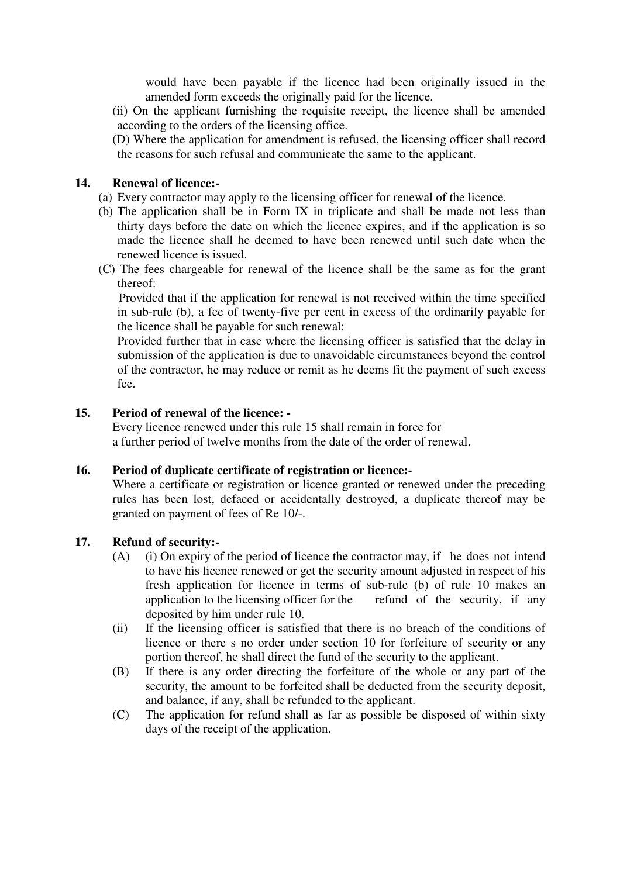would have been payable if the licence had been originally issued in the amended form exceeds the originally paid for the licence.

- (ii) On the applicant furnishing the requisite receipt, the licence shall be amended according to the orders of the licensing office.
- (D) Where the application for amendment is refused, the licensing officer shall record the reasons for such refusal and communicate the same to the applicant.

#### **14. Renewal of licence:-**

- (a) Every contractor may apply to the licensing officer for renewal of the licence.
- (b) The application shall be in Form IX in triplicate and shall be made not less than thirty days before the date on which the licence expires, and if the application is so made the licence shall he deemed to have been renewed until such date when the renewed licence is issued.
- (C) The fees chargeable for renewal of the licence shall be the same as for the grant thereof:

 Provided that if the application for renewal is not received within the time specified in sub-rule (b), a fee of twenty-five per cent in excess of the ordinarily payable for the licence shall be payable for such renewal:

 Provided further that in case where the licensing officer is satisfied that the delay in submission of the application is due to unavoidable circumstances beyond the control of the contractor, he may reduce or remit as he deems fit the payment of such excess fee.

#### **15. Period of renewal of the licence: -**

Every licence renewed under this rule 15 shall remain in force for a further period of twelve months from the date of the order of renewal.

#### **16. Period of duplicate certificate of registration or licence:-**

Where a certificate or registration or licence granted or renewed under the preceding rules has been lost, defaced or accidentally destroyed, a duplicate thereof may be granted on payment of fees of Re 10/-.

#### **17. Refund of security:-**

- (A) (i) On expiry of the period of licence the contractor may, if he does not intend to have his licence renewed or get the security amount adjusted in respect of his fresh application for licence in terms of sub-rule (b) of rule 10 makes an application to the licensing officer for the refund of the security, if any deposited by him under rule 10.
- (ii) If the licensing officer is satisfied that there is no breach of the conditions of licence or there s no order under section 10 for forfeiture of security or any portion thereof, he shall direct the fund of the security to the applicant.
- (B) If there is any order directing the forfeiture of the whole or any part of the security, the amount to be forfeited shall be deducted from the security deposit, and balance, if any, shall be refunded to the applicant.
- (C) The application for refund shall as far as possible be disposed of within sixty days of the receipt of the application.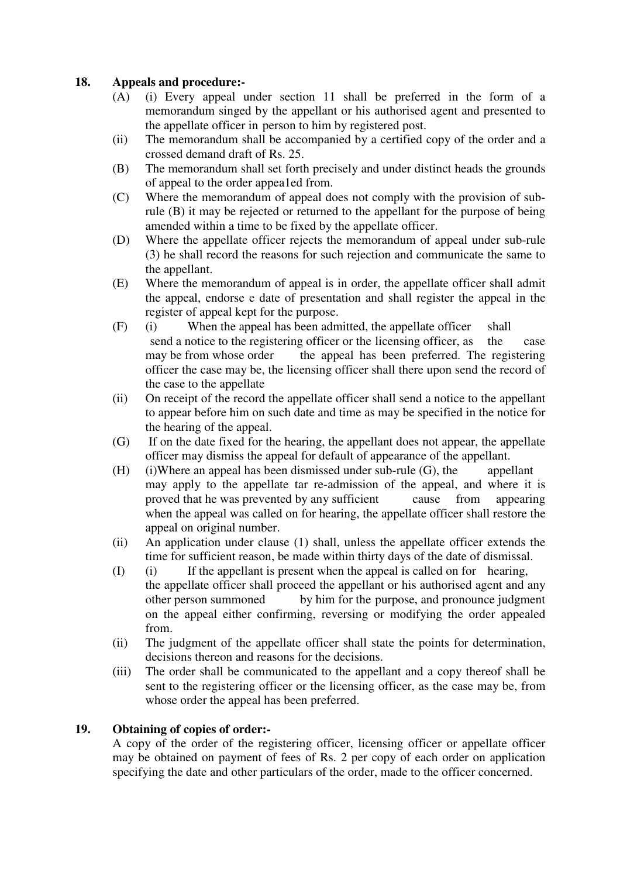## **18. Appeals and procedure:-**

- (A) (i) Every appeal under section 11 shall be preferred in the form of a memorandum singed by the appellant or his authorised agent and presented to the appellate officer in person to him by registered post.
- (ii) The memorandum shall be accompanied by a certified copy of the order and a crossed demand draft of Rs. 25.
- (B) The memorandum shall set forth precisely and under distinct heads the grounds of appeal to the order appea1ed from.
- (C) Where the memorandum of appeal does not comply with the provision of subrule (B) it may be rejected or returned to the appellant for the purpose of being amended within a time to be fixed by the appellate officer.
- (D) Where the appellate officer rejects the memorandum of appeal under sub-rule (3) he shall record the reasons for such rejection and communicate the same to the appellant.
- (E) Where the memorandum of appeal is in order, the appellate officer shall admit the appeal, endorse e date of presentation and shall register the appeal in the register of appeal kept for the purpose.
- (F) (i) When the appeal has been admitted, the appellate officer shall send a notice to the registering officer or the licensing officer, as the case may be from whose order the appeal has been preferred. The registering officer the case may be, the licensing officer shall there upon send the record of the case to the appellate
- (ii) On receipt of the record the appellate officer shall send a notice to the appellant to appear before him on such date and time as may be specified in the notice for the hearing of the appeal.
- (G) If on the date fixed for the hearing, the appellant does not appear, the appellate officer may dismiss the appeal for default of appearance of the appellant.
- $(H)$  (i)Where an appeal has been dismissed under sub-rule  $(G)$ , the appellant may apply to the appellate tar re-admission of the appeal, and where it is proved that he was prevented by any sufficient cause from appearing when the appeal was called on for hearing, the appellate officer shall restore the appeal on original number.
- (ii) An application under clause (1) shall, unless the appellate officer extends the time for sufficient reason, be made within thirty days of the date of dismissal.
- (I) (i) If the appellant is present when the appeal is called on for hearing, the appellate officer shall proceed the appellant or his authorised agent and any other person summoned by him for the purpose, and pronounce judgment on the appeal either confirming, reversing or modifying the order appealed from.
- (ii) The judgment of the appellate officer shall state the points for determination, decisions thereon and reasons for the decisions.
- (iii) The order shall be communicated to the appellant and a copy thereof shall be sent to the registering officer or the licensing officer, as the case may be, from whose order the appeal has been preferred.

#### **19. Obtaining of copies of order:-**

 A copy of the order of the registering officer, licensing officer or appellate officer may be obtained on payment of fees of Rs. 2 per copy of each order on application specifying the date and other particulars of the order, made to the officer concerned.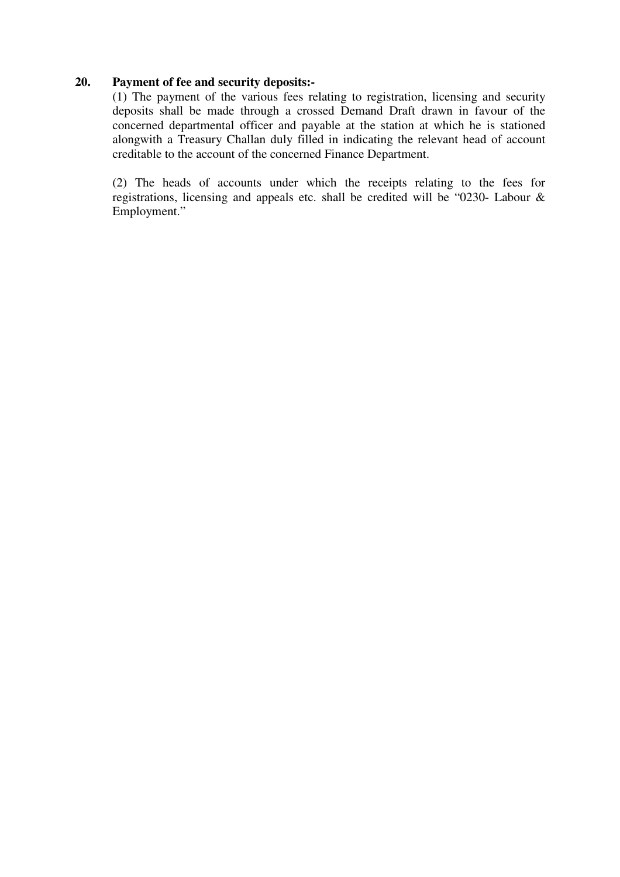#### **20. Payment of fee and security deposits:-**

(1) The payment of the various fees relating to registration, licensing and security deposits shall be made through a crossed Demand Draft drawn in favour of the concerned departmental officer and payable at the station at which he is stationed alongwith a Treasury Challan duly filled in indicating the relevant head of account creditable to the account of the concerned Finance Department.

(2) The heads of accounts under which the receipts relating to the fees for registrations, licensing and appeals etc. shall be credited will be "0230- Labour & Employment."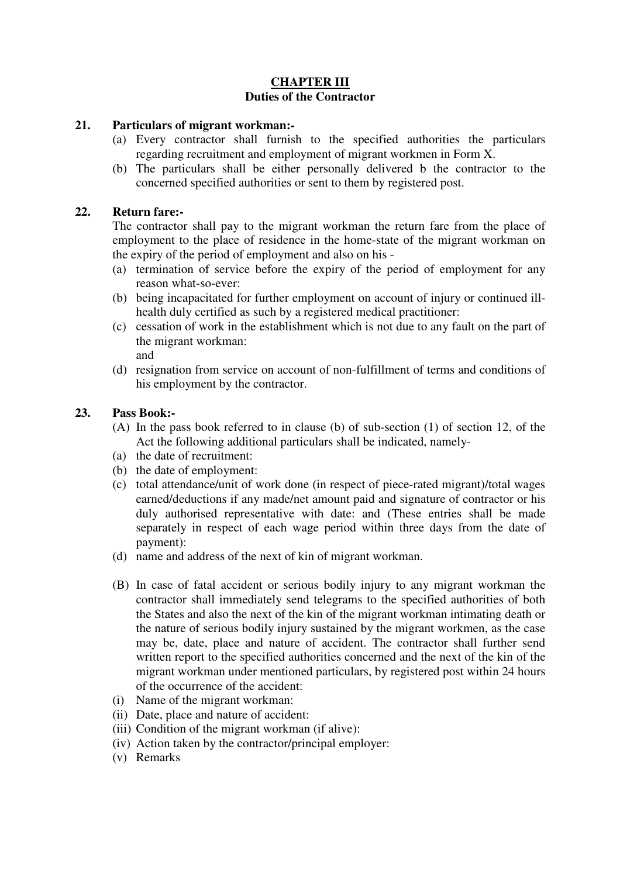#### **CHAPTER III Duties of the Contractor**

#### **21. Particulars of migrant workman:-**

- (a) Every contractor shall furnish to the specified authorities the particulars regarding recruitment and employment of migrant workmen in Form X.
- (b) The particulars shall be either personally delivered b the contractor to the concerned specified authorities or sent to them by registered post.

#### **22. Return fare:-**

The contractor shall pay to the migrant workman the return fare from the place of employment to the place of residence in the home-state of the migrant workman on the expiry of the period of employment and also on his -

- (a) termination of service before the expiry of the period of employment for any reason what-so-ever:
- (b) being incapacitated for further employment on account of injury or continued illhealth duly certified as such by a registered medical practitioner:
- (c) cessation of work in the establishment which is not due to any fault on the part of the migrant workman: and
- (d) resignation from service on account of non-fulfillment of terms and conditions of his employment by the contractor.

#### **23. Pass Book:-**

- (A) In the pass book referred to in clause (b) of sub-section (1) of section 12, of the Act the following additional particulars shall be indicated, namely-
- (a) the date of recruitment:
- (b) the date of employment:
- (c) total attendance/unit of work done (in respect of piece-rated migrant)/total wages earned/deductions if any made/net amount paid and signature of contractor or his duly authorised representative with date: and (These entries shall be made separately in respect of each wage period within three days from the date of payment):
- (d) name and address of the next of kin of migrant workman.
- (B) In case of fatal accident or serious bodily injury to any migrant workman the contractor shall immediately send telegrams to the specified authorities of both the States and also the next of the kin of the migrant workman intimating death or the nature of serious bodily injury sustained by the migrant workmen, as the case may be, date, place and nature of accident. The contractor shall further send written report to the specified authorities concerned and the next of the kin of the migrant workman under mentioned particulars, by registered post within 24 hours of the occurrence of the accident:
- (i) Name of the migrant workman:
- (ii) Date, place and nature of accident:
- (iii) Condition of the migrant workman (if alive):
- (iv) Action taken by the contractor/principal employer:
- (v) Remarks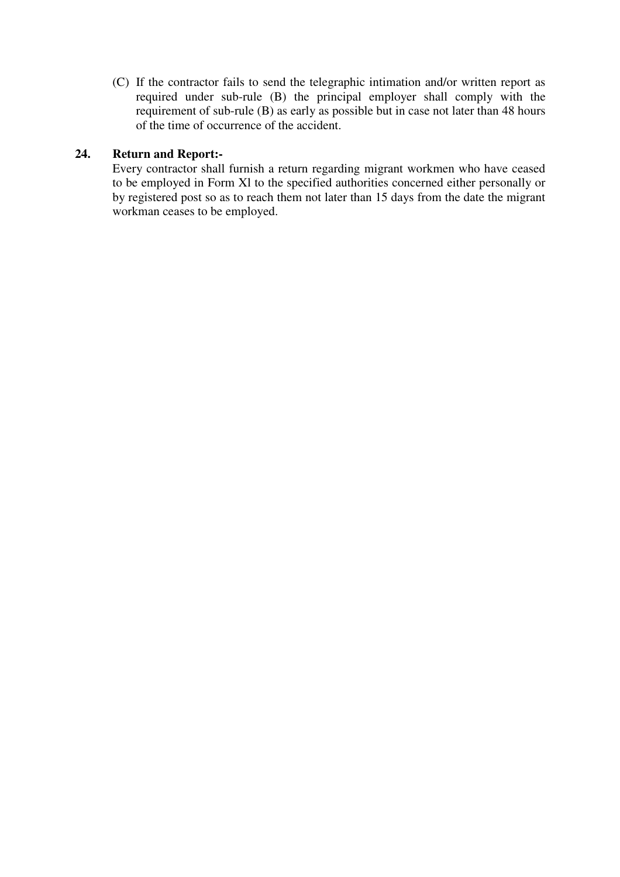(C) If the contractor fails to send the telegraphic intimation and/or written report as required under sub-rule (B) the principal employer shall comply with the requirement of sub-rule (B) as early as possible but in case not later than 48 hours of the time of occurrence of the accident.

#### **24. Return and Report:-**

Every contractor shall furnish a return regarding migrant workmen who have ceased to be employed in Form Xl to the specified authorities concerned either personally or by registered post so as to reach them not later than 15 days from the date the migrant workman ceases to be employed.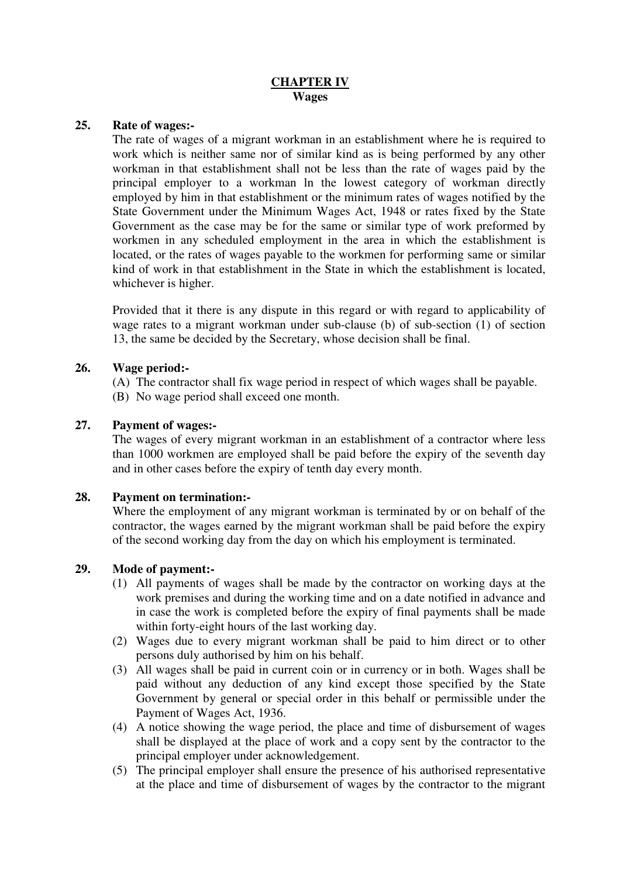#### **CHAPTER IV Wages**

#### **25. Rate of wages:-**

The rate of wages of a migrant workman in an establishment where he is required to work which is neither same nor of similar kind as is being performed by any other workman in that establishment shall not be less than the rate of wages paid by the principal employer to a workman ln the lowest category of workman directly employed by him in that establishment or the minimum rates of wages notified by the State Government under the Minimum Wages Act, 1948 or rates fixed by the State Government as the case may be for the same or similar type of work preformed by workmen in any scheduled employment in the area in which the establishment is located, or the rates of wages payable to the workmen for performing same or similar kind of work in that establishment in the State in which the establishment is located, whichever is higher.

Provided that it there is any dispute in this regard or with regard to applicability of wage rates to a migrant workman under sub-clause (b) of sub-section (1) of section 13, the same be decided by the Secretary, whose decision shall be final.

#### **26. Wage period:-**

(A) The contractor shall fix wage period in respect of which wages shall be payable. (B) No wage period shall exceed one month.

#### **27. Payment of wages:-**

The wages of every migrant workman in an establishment of a contractor where less than 1000 workmen are employed shall be paid before the expiry of the seventh day and in other cases before the expiry of tenth day every month.

#### **28. Payment on termination:-**

Where the employment of any migrant workman is terminated by or on behalf of the contractor, the wages earned by the migrant workman shall be paid before the expiry of the second working day from the day on which his employment is terminated.

#### **29. Mode of payment:-**

- (1) All payments of wages shall be made by the contractor on working days at the work premises and during the working time and on a date notified in advance and in case the work is completed before the expiry of final payments shall be made within forty-eight hours of the last working day.
- (2) Wages due to every migrant workman shall be paid to him direct or to other persons duly authorised by him on his behalf.
- (3) All wages shall be paid in current coin or in currency or in both. Wages shall be paid without any deduction of any kind except those specified by the State Government by general or special order in this behalf or permissible under the Payment of Wages Act, 1936.
- (4) A notice showing the wage period, the place and time of disbursement of wages shall be displayed at the place of work and a copy sent by the contractor to the principal employer under acknowledgement.
- (5) The principal employer shall ensure the presence of his authorised representative at the place and time of disbursement of wages by the contractor to the migrant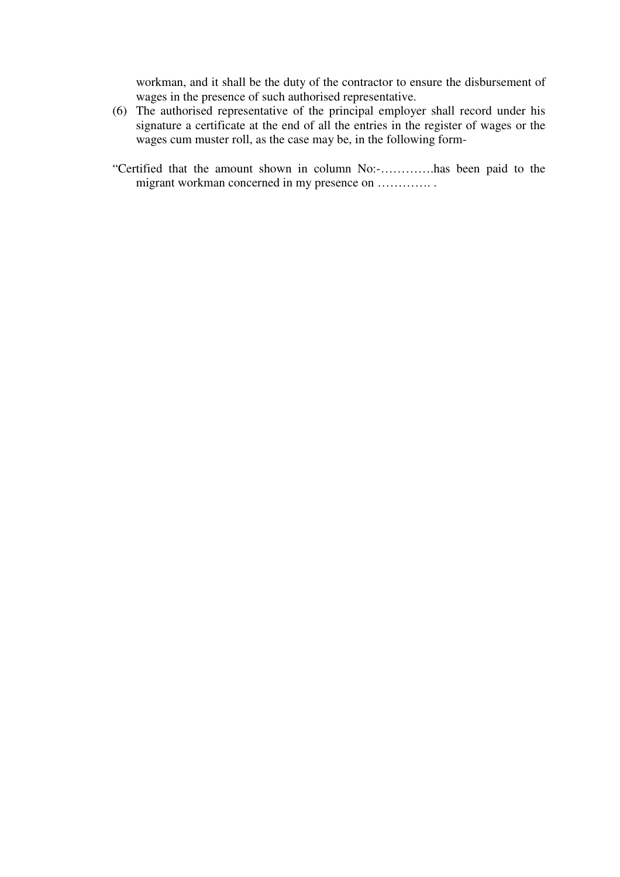workman, and it shall be the duty of the contractor to ensure the disbursement of wages in the presence of such authorised representative.

- (6) The authorised representative of the principal employer shall record under his signature a certificate at the end of all the entries in the register of wages or the wages cum muster roll, as the case may be, in the following form-
- "Certified that the amount shown in column No:-………….has been paid to the migrant workman concerned in my presence on ..............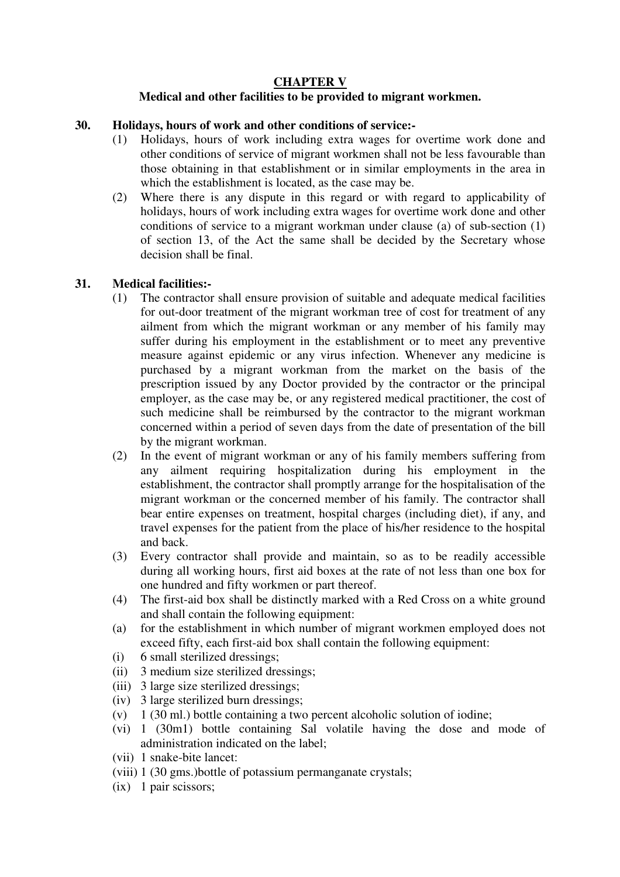#### **CHAPTER V Medical and other facilities to be provided to migrant workmen.**

#### **30. Holidays, hours of work and other conditions of service:-**

- (1) Holidays, hours of work including extra wages for overtime work done and other conditions of service of migrant workmen shall not be less favourable than those obtaining in that establishment or in similar employments in the area in which the establishment is located, as the case may be.
- (2) Where there is any dispute in this regard or with regard to applicability of holidays, hours of work including extra wages for overtime work done and other conditions of service to a migrant workman under clause (a) of sub-section (1) of section 13, of the Act the same shall be decided by the Secretary whose decision shall be final.

#### **31. Medical facilities:-**

- (1) The contractor shall ensure provision of suitable and adequate medical facilities for out-door treatment of the migrant workman tree of cost for treatment of any ailment from which the migrant workman or any member of his family may suffer during his employment in the establishment or to meet any preventive measure against epidemic or any virus infection. Whenever any medicine is purchased by a migrant workman from the market on the basis of the prescription issued by any Doctor provided by the contractor or the principal employer, as the case may be, or any registered medical practitioner, the cost of such medicine shall be reimbursed by the contractor to the migrant workman concerned within a period of seven days from the date of presentation of the bill by the migrant workman.
- (2) In the event of migrant workman or any of his family members suffering from any ailment requiring hospitalization during his employment in the establishment, the contractor shall promptly arrange for the hospitalisation of the migrant workman or the concerned member of his family. The contractor shall bear entire expenses on treatment, hospital charges (including diet), if any, and travel expenses for the patient from the place of his/her residence to the hospital and back.
- (3) Every contractor shall provide and maintain, so as to be readily accessible during all working hours, first aid boxes at the rate of not less than one box for one hundred and fifty workmen or part thereof.
- (4) The first-aid box shall be distinctly marked with a Red Cross on a white ground and shall contain the following equipment:
- (a) for the establishment in which number of migrant workmen employed does not exceed fifty, each first-aid box shall contain the following equipment:
- (i) 6 small sterilized dressings;
- (ii) 3 medium size sterilized dressings;
- (iii) 3 large size sterilized dressings;
- (iv) 3 large sterilized burn dressings;
- (v)  $1 (30 \text{ ml.})$  bottle containing a two percent alcoholic solution of iodine;
- (vi) 1 (30m1) bottle containing Sal volatile having the dose and mode of administration indicated on the label;
- (vii) 1 snake-bite lancet:
- (viii) 1 (30 gms.)bottle of potassium permanganate crystals;
- (ix) 1 pair scissors;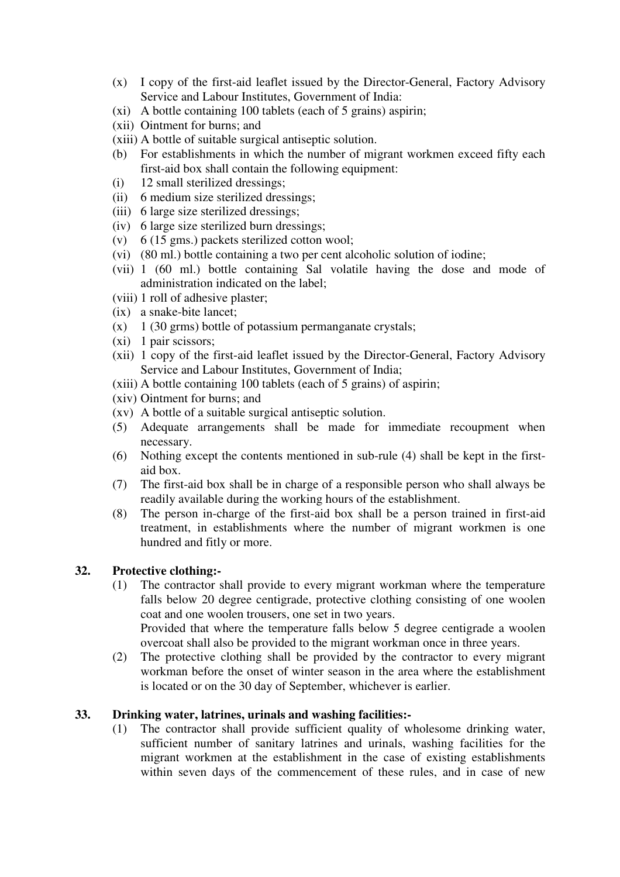- (x) I copy of the first-aid leaflet issued by the Director-General, Factory Advisory Service and Labour Institutes, Government of India:
- (xi) A bottle containing 100 tablets (each of 5 grains) aspirin;
- (xii) Ointment for burns; and
- (xiii) A bottle of suitable surgical antiseptic solution.
- (b) For establishments in which the number of migrant workmen exceed fifty each first-aid box shall contain the following equipment:
- (i) 12 small sterilized dressings;
- (ii) 6 medium size sterilized dressings;
- (iii) 6 large size sterilized dressings;
- (iv) 6 large size sterilized burn dressings;
- (v) 6 (15 gms.) packets sterilized cotton wool;
- (vi) (80 ml.) bottle containing a two per cent alcoholic solution of iodine;
- (vii) 1 (60 ml.) bottle containing Sal volatile having the dose and mode of administration indicated on the label;
- (viii) 1 roll of adhesive plaster;
- (ix) a snake-bite lancet;
- $(x)$  1 (30 grms) bottle of potassium permanganate crystals;
- (xi) 1 pair scissors;
- (xii) 1 copy of the first-aid leaflet issued by the Director-General, Factory Advisory Service and Labour Institutes, Government of India;
- (xiii) A bottle containing 100 tablets (each of 5 grains) of aspirin;
- (xiv) Ointment for burns; and
- (xv) A bottle of a suitable surgical antiseptic solution.
- (5) Adequate arrangements shall be made for immediate recoupment when necessary.
- (6) Nothing except the contents mentioned in sub-rule (4) shall be kept in the firstaid box.
- (7) The first-aid box shall be in charge of a responsible person who shall always be readily available during the working hours of the establishment.
- (8) The person in-charge of the first-aid box shall be a person trained in first-aid treatment, in establishments where the number of migrant workmen is one hundred and fitly or more.

#### **32. Protective clothing:-**

(1) The contractor shall provide to every migrant workman where the temperature falls below 20 degree centigrade, protective clothing consisting of one woolen coat and one woolen trousers, one set in two years.

Provided that where the temperature falls below 5 degree centigrade a woolen overcoat shall also be provided to the migrant workman once in three years.

(2) The protective clothing shall be provided by the contractor to every migrant workman before the onset of winter season in the area where the establishment is located or on the 30 day of September, whichever is earlier.

#### **33. Drinking water, latrines, urinals and washing facilities:-**

(1) The contractor shall provide sufficient quality of wholesome drinking water, sufficient number of sanitary latrines and urinals, washing facilities for the migrant workmen at the establishment in the case of existing establishments within seven days of the commencement of these rules, and in case of new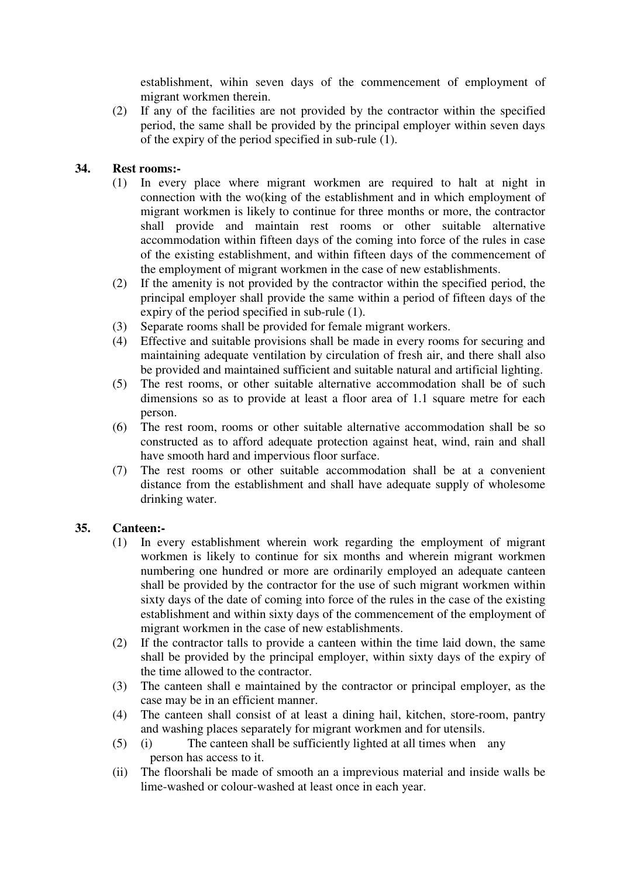establishment, wihin seven days of the commencement of employment of migrant workmen therein.

(2) If any of the facilities are not provided by the contractor within the specified period, the same shall be provided by the principal employer within seven days of the expiry of the period specified in sub-rule (1).

#### **34. Rest rooms:-**

- (1) In every place where migrant workmen are required to halt at night in connection with the wo(king of the establishment and in which employment of migrant workmen is likely to continue for three months or more, the contractor shall provide and maintain rest rooms or other suitable alternative accommodation within fifteen days of the coming into force of the rules in case of the existing establishment, and within fifteen days of the commencement of the employment of migrant workmen in the case of new establishments.
- (2) If the amenity is not provided by the contractor within the specified period, the principal employer shall provide the same within a period of fifteen days of the expiry of the period specified in sub-rule (1).
- (3) Separate rooms shall be provided for female migrant workers.
- (4) Effective and suitable provisions shall be made in every rooms for securing and maintaining adequate ventilation by circulation of fresh air, and there shall also be provided and maintained sufficient and suitable natural and artificial lighting.
- (5) The rest rooms, or other suitable alternative accommodation shall be of such dimensions so as to provide at least a floor area of 1.1 square metre for each person.
- (6) The rest room, rooms or other suitable alternative accommodation shall be so constructed as to afford adequate protection against heat, wind, rain and shall have smooth hard and impervious floor surface.
- (7) The rest rooms or other suitable accommodation shall be at a convenient distance from the establishment and shall have adequate supply of wholesome drinking water.

#### **35. Canteen:-**

- (1) In every establishment wherein work regarding the employment of migrant workmen is likely to continue for six months and wherein migrant workmen numbering one hundred or more are ordinarily employed an adequate canteen shall be provided by the contractor for the use of such migrant workmen within sixty days of the date of coming into force of the rules in the case of the existing establishment and within sixty days of the commencement of the employment of migrant workmen in the case of new establishments.
- (2) If the contractor talls to provide a canteen within the time laid down, the same shall be provided by the principal employer, within sixty days of the expiry of the time allowed to the contractor.
- (3) The canteen shall e maintained by the contractor or principal employer, as the case may be in an efficient manner.
- (4) The canteen shall consist of at least a dining hail, kitchen, store-room, pantry and washing places separately for migrant workmen and for utensils.
- (5) (i) The canteen shall be sufficiently lighted at all times when any person has access to it.
- (ii) The floorshali be made of smooth an a imprevious material and inside walls be lime-washed or colour-washed at least once in each year.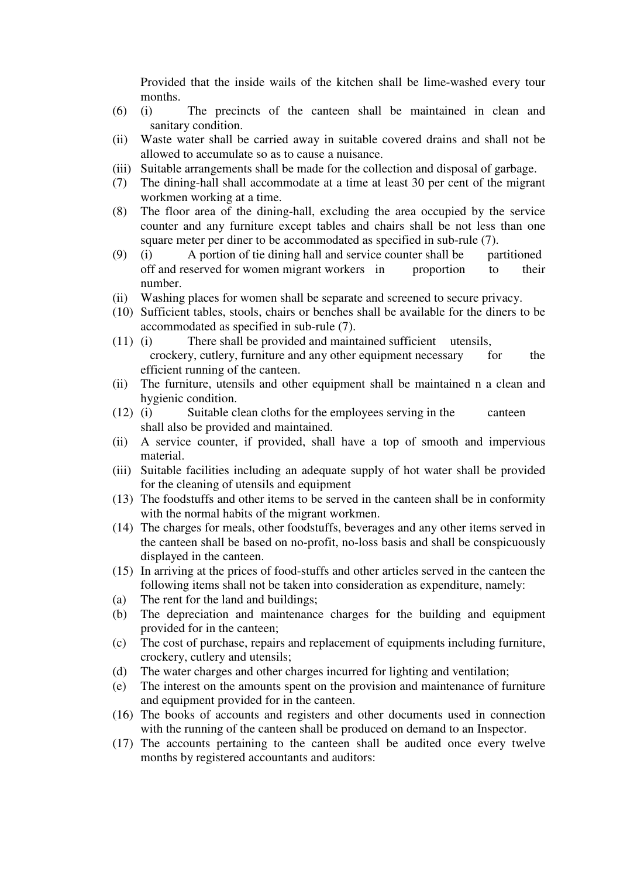Provided that the inside wails of the kitchen shall be lime-washed every tour months.

- (6) (i) The precincts of the canteen shall be maintained in clean and sanitary condition.
- (ii) Waste water shall be carried away in suitable covered drains and shall not be allowed to accumulate so as to cause a nuisance.
- (iii) Suitable arrangements shall be made for the collection and disposal of garbage.
- (7) The dining-hall shall accommodate at a time at least 30 per cent of the migrant workmen working at a time.
- (8) The floor area of the dining-hall, excluding the area occupied by the service counter and any furniture except tables and chairs shall be not less than one square meter per diner to be accommodated as specified in sub-rule (7).
- (9) (i) A portion of tie dining hall and service counter shall be partitioned off and reserved for women migrant workers in proportion to their number.
- (ii) Washing places for women shall be separate and screened to secure privacy.
- (10) Sufficient tables, stools, chairs or benches shall be available for the diners to be accommodated as specified in sub-rule (7).
- (11) (i) There shall be provided and maintained sufficient utensils, crockery, cutlery, furniture and any other equipment necessary for the efficient running of the canteen.
- (ii) The furniture, utensils and other equipment shall be maintained n a clean and hygienic condition.
- (12) (i) Suitable clean cloths for the employees serving in the canteen shall also be provided and maintained.
- (ii) A service counter, if provided, shall have a top of smooth and impervious material.
- (iii) Suitable facilities including an adequate supply of hot water shall be provided for the cleaning of utensils and equipment
- (13) The foodstuffs and other items to be served in the canteen shall be in conformity with the normal habits of the migrant workmen.
- (14) The charges for meals, other foodstuffs, beverages and any other items served in the canteen shall be based on no-profit, no-loss basis and shall be conspicuously displayed in the canteen.
- (15) In arriving at the prices of food-stuffs and other articles served in the canteen the following items shall not be taken into consideration as expenditure, namely:
- (a) The rent for the land and buildings;
- (b) The depreciation and maintenance charges for the building and equipment provided for in the canteen;
- (c) The cost of purchase, repairs and replacement of equipments including furniture, crockery, cutlery and utensils;
- (d) The water charges and other charges incurred for lighting and ventilation;
- (e) The interest on the amounts spent on the provision and maintenance of furniture and equipment provided for in the canteen.
- (16) The books of accounts and registers and other documents used in connection with the running of the canteen shall be produced on demand to an Inspector.
- (17) The accounts pertaining to the canteen shall be audited once every twelve months by registered accountants and auditors: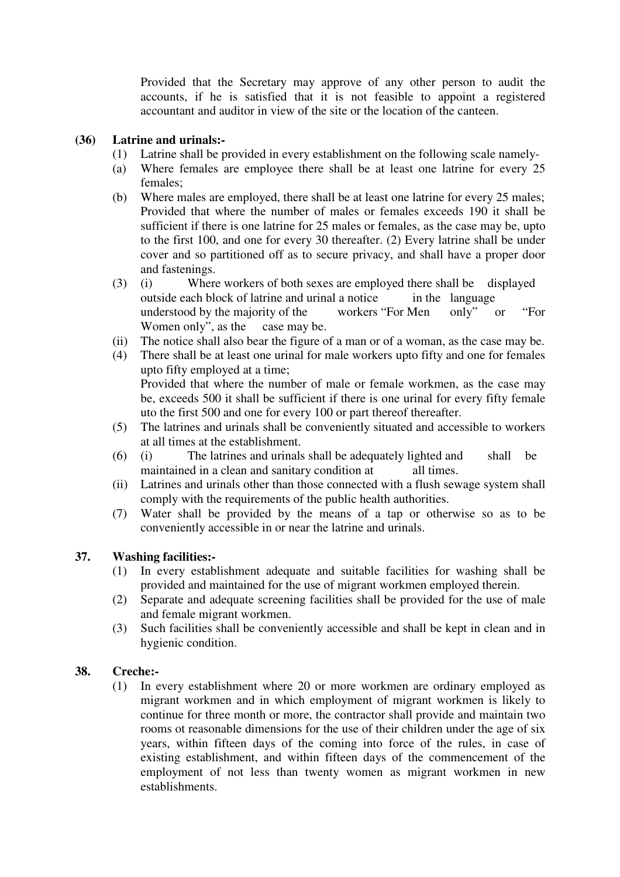Provided that the Secretary may approve of any other person to audit the accounts, if he is satisfied that it is not feasible to appoint a registered accountant and auditor in view of the site or the location of the canteen.

#### **(36) Latrine and urinals:-**

- (1) Latrine shall be provided in every establishment on the following scale namely-
- (a) Where females are employee there shall be at least one latrine for every 25 females;
- (b) Where males are employed, there shall be at least one latrine for every 25 males; Provided that where the number of males or females exceeds 190 it shall be sufficient if there is one latrine for 25 males or females, as the case may be, upto to the first 100, and one for every 30 thereafter. (2) Every latrine shall be under cover and so partitioned off as to secure privacy, and shall have a proper door and fastenings.
- (3) (i) Where workers of both sexes are employed there shall be displayed outside each block of latrine and urinal a notice in the language understood by the majority of the workers "For Men only" or "For Women only", as the case may be.
- (ii) The notice shall also bear the figure of a man or of a woman, as the case may be.
- (4) There shall be at least one urinal for male workers upto fifty and one for females upto fifty employed at a time; Provided that where the number of male or female workmen, as the case may be, exceeds 500 it shall be sufficient if there is one urinal for every fifty female uto the first 500 and one for every 100 or part thereof thereafter.
- (5) The latrines and urinals shall be conveniently situated and accessible to workers at all times at the establishment.
- (6) (i) The latrines and urinals shall be adequately lighted and shall be maintained in a clean and sanitary condition at all times.
- (ii) Latrines and urinals other than those connected with a flush sewage system shall comply with the requirements of the public health authorities.
- (7) Water shall be provided by the means of a tap or otherwise so as to be conveniently accessible in or near the latrine and urinals.

#### **37. Washing facilities:-**

- (1) In every establishment adequate and suitable facilities for washing shall be provided and maintained for the use of migrant workmen employed therein.
- (2) Separate and adequate screening facilities shall be provided for the use of male and female migrant workmen.
- (3) Such facilities shall be conveniently accessible and shall be kept in clean and in hygienic condition.

#### **38. Creche:-**

(1) In every establishment where 20 or more workmen are ordinary employed as migrant workmen and in which employment of migrant workmen is likely to continue for three month or more, the contractor shall provide and maintain two rooms ot reasonable dimensions for the use of their children under the age of six years, within fifteen days of the coming into force of the rules, in case of existing establishment, and within fifteen days of the commencement of the employment of not less than twenty women as migrant workmen in new establishments.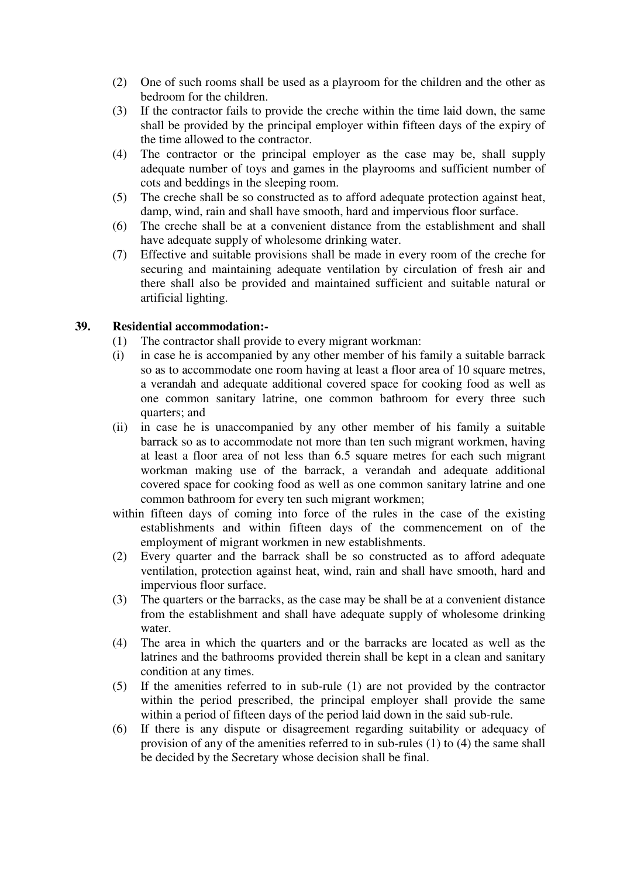- (2) One of such rooms shall be used as a playroom for the children and the other as bedroom for the children.
- (3) If the contractor fails to provide the creche within the time laid down, the same shall be provided by the principal employer within fifteen days of the expiry of the time allowed to the contractor.
- (4) The contractor or the principal employer as the case may be, shall supply adequate number of toys and games in the playrooms and sufficient number of cots and beddings in the sleeping room.
- (5) The creche shall be so constructed as to afford adequate protection against heat, damp, wind, rain and shall have smooth, hard and impervious floor surface.
- (6) The creche shall be at a convenient distance from the establishment and shall have adequate supply of wholesome drinking water.
- (7) Effective and suitable provisions shall be made in every room of the creche for securing and maintaining adequate ventilation by circulation of fresh air and there shall also be provided and maintained sufficient and suitable natural or artificial lighting.

#### **39. Residential accommodation:-**

- (1) The contractor shall provide to every migrant workman:
- (i) in case he is accompanied by any other member of his family a suitable barrack so as to accommodate one room having at least a floor area of 10 square metres, a verandah and adequate additional covered space for cooking food as well as one common sanitary latrine, one common bathroom for every three such quarters; and
- (ii) in case he is unaccompanied by any other member of his family a suitable barrack so as to accommodate not more than ten such migrant workmen, having at least a floor area of not less than 6.5 square metres for each such migrant workman making use of the barrack, a verandah and adequate additional covered space for cooking food as well as one common sanitary latrine and one common bathroom for every ten such migrant workmen;
- within fifteen days of coming into force of the rules in the case of the existing establishments and within fifteen days of the commencement on of the employment of migrant workmen in new establishments.
- (2) Every quarter and the barrack shall be so constructed as to afford adequate ventilation, protection against heat, wind, rain and shall have smooth, hard and impervious floor surface.
- (3) The quarters or the barracks, as the case may be shall be at a convenient distance from the establishment and shall have adequate supply of wholesome drinking water.
- (4) The area in which the quarters and or the barracks are located as well as the latrines and the bathrooms provided therein shall be kept in a clean and sanitary condition at any times.
- (5) If the amenities referred to in sub-rule (1) are not provided by the contractor within the period prescribed, the principal employer shall provide the same within a period of fifteen days of the period laid down in the said sub-rule.
- (6) If there is any dispute or disagreement regarding suitability or adequacy of provision of any of the amenities referred to in sub-rules (1) to (4) the same shall be decided by the Secretary whose decision shall be final.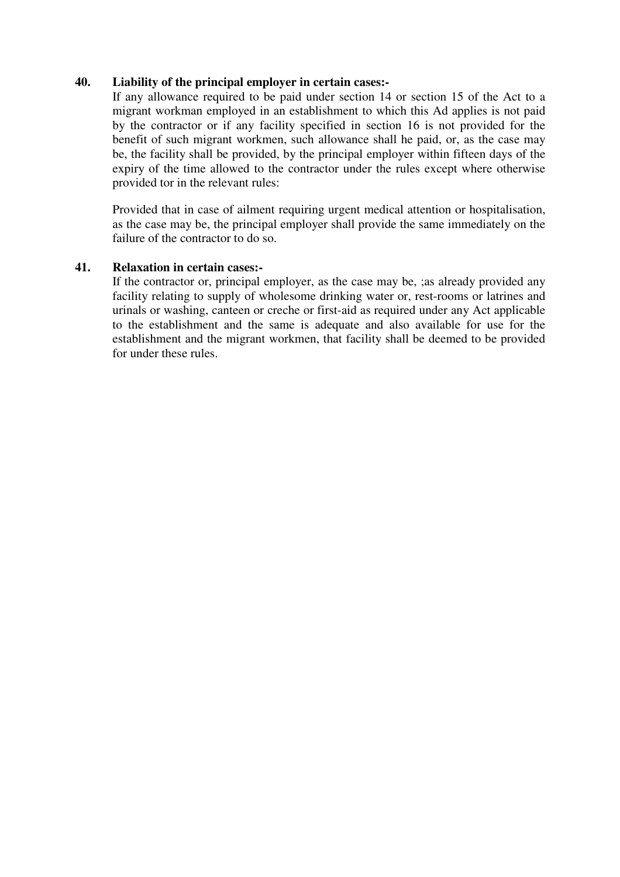#### **40. Liability of the principal employer in certain cases:-**

If any allowance required to be paid under section 14 or section 15 of the Act to a migrant workman employed in an establishment to which this Ad applies is not paid by the contractor or if any facility specified in section 16 is not provided for the benefit of such migrant workmen, such allowance shall he paid, or, as the case may be, the facility shall be provided, by the principal employer within fifteen days of the expiry of the time allowed to the contractor under the rules except where otherwise provided tor in the relevant rules:

Provided that in case of ailment requiring urgent medical attention or hospitalisation, as the case may be, the principal employer shall provide the same immediately on the failure of the contractor to do so.

#### **41. Relaxation in certain cases:-**

If the contractor or, principal employer, as the case may be, ;as already provided any facility relating to supply of wholesome drinking water or, rest-rooms or latrines and urinals or washing, canteen or creche or first-aid as required under any Act applicable to the establishment and the same is adequate and also available for use for the establishment and the migrant workmen, that facility shall be deemed to be provided for under these rules.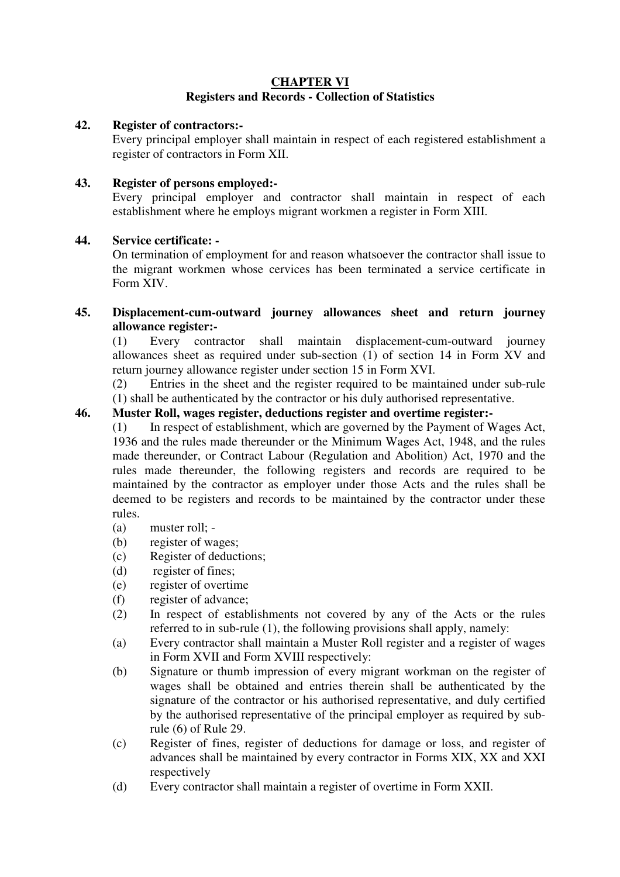#### **CHAPTER VI Registers and Records - Collection of Statistics**

#### **42. Register of contractors:-**

Every principal employer shall maintain in respect of each registered establishment a register of contractors in Form XII.

#### **43. Register of persons employed:-**

Every principal employer and contractor shall maintain in respect of each establishment where he employs migrant workmen a register in Form XIII.

#### **44. Service certificate: -**

On termination of employment for and reason whatsoever the contractor shall issue to the migrant workmen whose cervices has been terminated a service certificate in Form XIV.

#### **45. Displacement-cum-outward journey allowances sheet and return journey allowance register:-**

(1) Every contractor shall maintain displacement-cum-outward journey allowances sheet as required under sub-section (1) of section 14 in Form XV and return journey allowance register under section 15 in Form XVI.

(2) Entries in the sheet and the register required to be maintained under sub-rule (1) shall be authenticated by the contractor or his duly authorised representative.

#### **46. Muster Roll, wages register, deductions register and overtime register:-**

(1) In respect of establishment, which are governed by the Payment of Wages Act, 1936 and the rules made thereunder or the Minimum Wages Act, 1948, and the rules made thereunder, or Contract Labour (Regulation and Abolition) Act, 1970 and the rules made thereunder, the following registers and records are required to be maintained by the contractor as employer under those Acts and the rules shall be deemed to be registers and records to be maintained by the contractor under these rules.

- (a) muster roll; -
- (b) register of wages;
- (c) Register of deductions;
- (d) register of fines;
- (e) register of overtime
- (f) register of advance;
- (2) In respect of establishments not covered by any of the Acts or the rules referred to in sub-rule (1), the following provisions shall apply, namely:
- (a) Every contractor shall maintain a Muster Roll register and a register of wages in Form XVII and Form XVIII respectively:
- (b) Signature or thumb impression of every migrant workman on the register of wages shall be obtained and entries therein shall be authenticated by the signature of the contractor or his authorised representative, and duly certified by the authorised representative of the principal employer as required by subrule (6) of Rule 29.
- (c) Register of fines, register of deductions for damage or loss, and register of advances shall be maintained by every contractor in Forms XIX, XX and XXI respectively
- (d) Every contractor shall maintain a register of overtime in Form XXII.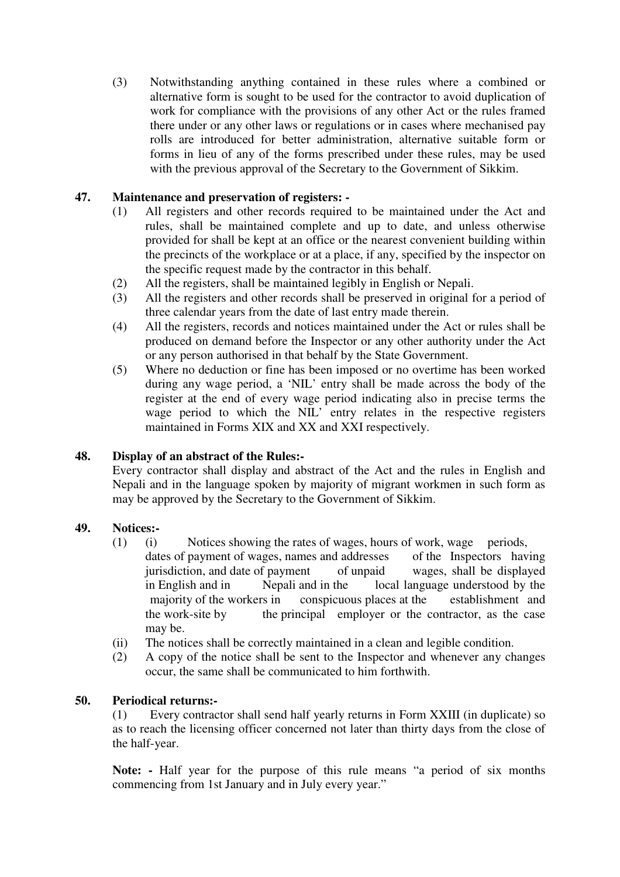(3) Notwithstanding anything contained in these rules where a combined or alternative form is sought to be used for the contractor to avoid duplication of work for compliance with the provisions of any other Act or the rules framed there under or any other laws or regulations or in cases where mechanised pay rolls are introduced for better administration, alternative suitable form or forms in lieu of any of the forms prescribed under these rules, may be used with the previous approval of the Secretary to the Government of Sikkim.

## **47. Maintenance and preservation of registers: -**

- (1) All registers and other records required to be maintained under the Act and rules, shall be maintained complete and up to date, and unless otherwise provided for shall be kept at an office or the nearest convenient building within the precincts of the workplace or at a place, if any, specified by the inspector on the specific request made by the contractor in this behalf.
- (2) All the registers, shall be maintained legibly in English or Nepali.
- (3) All the registers and other records shall be preserved in original for a period of three calendar years from the date of last entry made therein.
- (4) All the registers, records and notices maintained under the Act or rules shall be produced on demand before the Inspector or any other authority under the Act or any person authorised in that behalf by the State Government.
- (5) Where no deduction or fine has been imposed or no overtime has been worked during any wage period, a 'NIL' entry shall be made across the body of the register at the end of every wage period indicating also in precise terms the wage period to which the NIL' entry relates in the respective registers maintained in Forms XIX and XX and XXI respectively.

#### **48. Display of an abstract of the Rules:-**

Every contractor shall display and abstract of the Act and the rules in English and Nepali and in the language spoken by majority of migrant workmen in such form as may be approved by the Secretary to the Government of Sikkim.

#### **49. Notices:-**

- (1) (i) Notices showing the rates of wages, hours of work, wage periods, dates of payment of wages, names and addresses of the Inspectors having jurisdiction, and date of payment of unpaid wages, shall be displayed in English and in Nepali and in the local language understood by the majority of the workers in conspicuous places at the establishment and the work-site by the principal employer or the contractor, as the case may be.
- (ii) The notices shall be correctly maintained in a clean and legible condition.
- (2) A copy of the notice shall be sent to the Inspector and whenever any changes occur, the same shall be communicated to him forthwith.

#### **50. Periodical returns:-**

(1) Every contractor shall send half yearly returns in Form XXIII (in duplicate) so as to reach the licensing officer concerned not later than thirty days from the close of the half-year.

**Note: -** Half year for the purpose of this rule means "a period of six months commencing from 1st January and in July every year."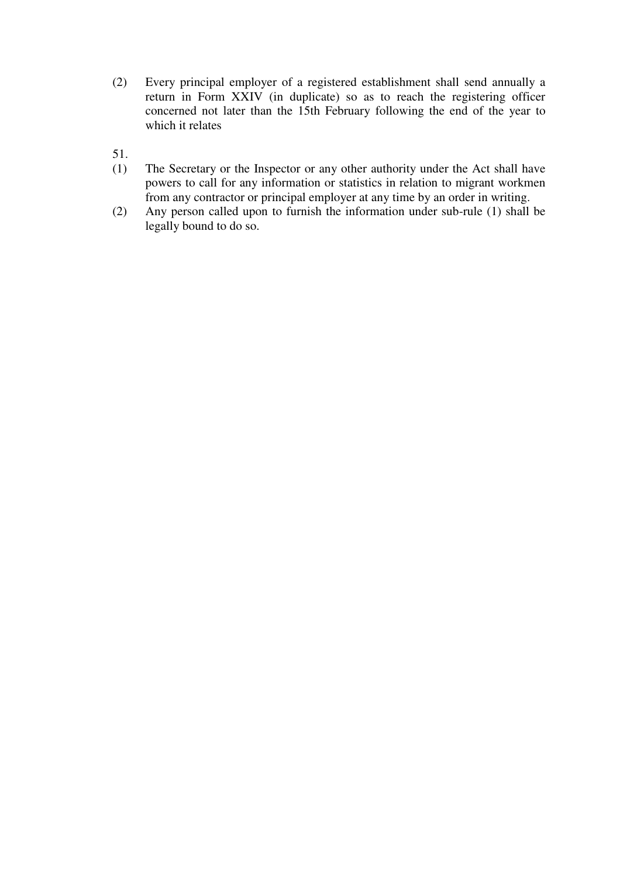(2) Every principal employer of a registered establishment shall send annually a return in Form XXIV (in duplicate) so as to reach the registering officer concerned not later than the 15th February following the end of the year to which it relates

51.

- (1) The Secretary or the Inspector or any other authority under the Act shall have powers to call for any information or statistics in relation to migrant workmen from any contractor or principal employer at any time by an order in writing.
- (2) Any person called upon to furnish the information under sub-rule (1) shall be legally bound to do so.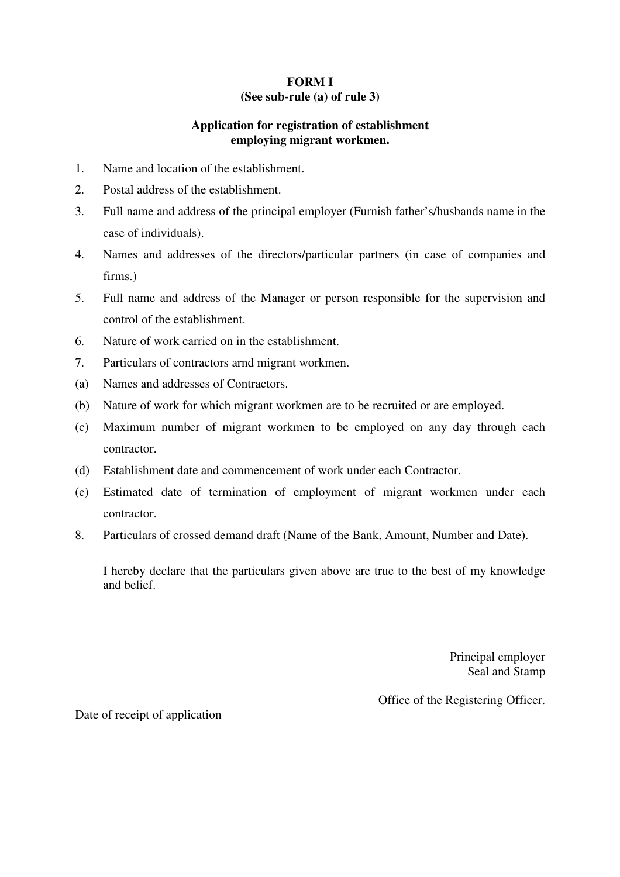#### **FORM I (See sub-rule (a) of rule 3)**

## **Application for registration of establishment employing migrant workmen.**

- 1. Name and location of the establishment.
- 2. Postal address of the establishment.
- 3. Full name and address of the principal employer (Furnish father's/husbands name in the case of individuals).
- 4. Names and addresses of the directors/particular partners (in case of companies and firms.)
- 5. Full name and address of the Manager or person responsible for the supervision and control of the establishment.
- 6. Nature of work carried on in the establishment.
- 7. Particulars of contractors arnd migrant workmen.
- (a) Names and addresses of Contractors.
- (b) Nature of work for which migrant workmen are to be recruited or are employed.
- (c) Maximum number of migrant workmen to be employed on any day through each contractor.
- (d) Establishment date and commencement of work under each Contractor.
- (e) Estimated date of termination of employment of migrant workmen under each contractor.
- 8. Particulars of crossed demand draft (Name of the Bank, Amount, Number and Date).

I hereby declare that the particulars given above are true to the best of my knowledge and belief.

> Principal employer Seal and Stamp

Office of the Registering Officer.

Date of receipt of application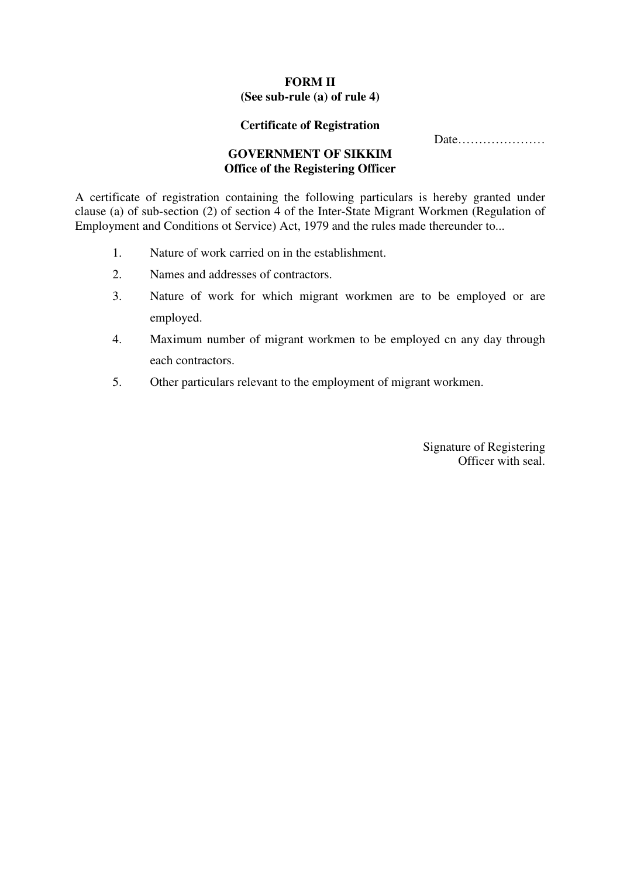## **FORM II**

## **(See sub-rule (a) of rule 4)**

#### **Certificate of Registration**

Date…………………

#### **GOVERNMENT OF SIKKIM Office of the Registering Officer**

A certificate of registration containing the following particulars is hereby granted under clause (a) of sub-section (2) of section 4 of the Inter-State Migrant Workmen (Regulation of Employment and Conditions ot Service) Act, 1979 and the rules made thereunder to...

- 1. Nature of work carried on in the establishment.
- 2. Names and addresses of contractors.
- 3. Nature of work for which migrant workmen are to be employed or are employed.
- 4. Maximum number of migrant workmen to be employed cn any day through each contractors.
- 5. Other particulars relevant to the employment of migrant workmen.

Signature of Registering Officer with seal.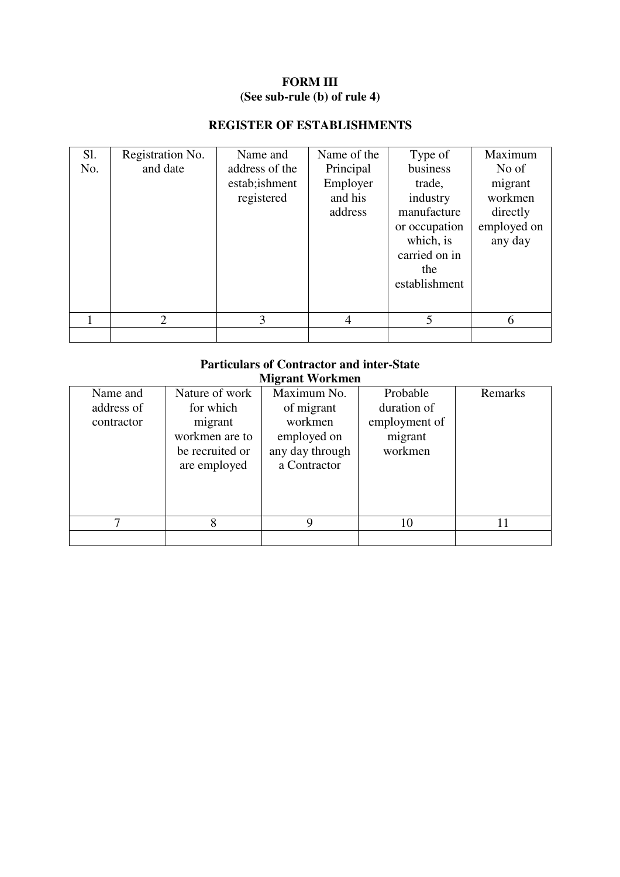## **FORM III (See sub-rule (b) of rule 4)**

## **REGISTER OF ESTABLISHMENTS**

| Sl. | Registration No. | Name and       | Name of the | Type of       | Maximum     |
|-----|------------------|----------------|-------------|---------------|-------------|
| No. | and date         | address of the | Principal   | business      | No of       |
|     |                  | estab; ishment | Employer    | trade,        | migrant     |
|     |                  | registered     | and his     | industry      | workmen     |
|     |                  |                | address     | manufacture   | directly    |
|     |                  |                |             | or occupation | employed on |
|     |                  |                |             | which, is     | any day     |
|     |                  |                |             | carried on in |             |
|     |                  |                |             | the           |             |
|     |                  |                |             | establishment |             |
|     |                  |                |             |               |             |
|     | $\overline{2}$   | 3              | 4           | 5             | 6           |
|     |                  |                |             |               |             |

#### **Particulars of Contractor and inter-State Migrant Workmen**

|            |                 | ******************************* |               |         |
|------------|-----------------|---------------------------------|---------------|---------|
| Name and   | Nature of work  | Maximum No.                     | Probable      | Remarks |
| address of | for which       | of migrant                      | duration of   |         |
| contractor | migrant         | workmen                         | employment of |         |
|            | workmen are to  | employed on                     | migrant       |         |
|            | be recruited or | any day through                 | workmen       |         |
|            | are employed    | a Contractor                    |               |         |
|            |                 |                                 |               |         |
|            |                 |                                 |               |         |
|            |                 |                                 |               |         |
|            | 8               | Q                               | 10            |         |
|            |                 |                                 |               |         |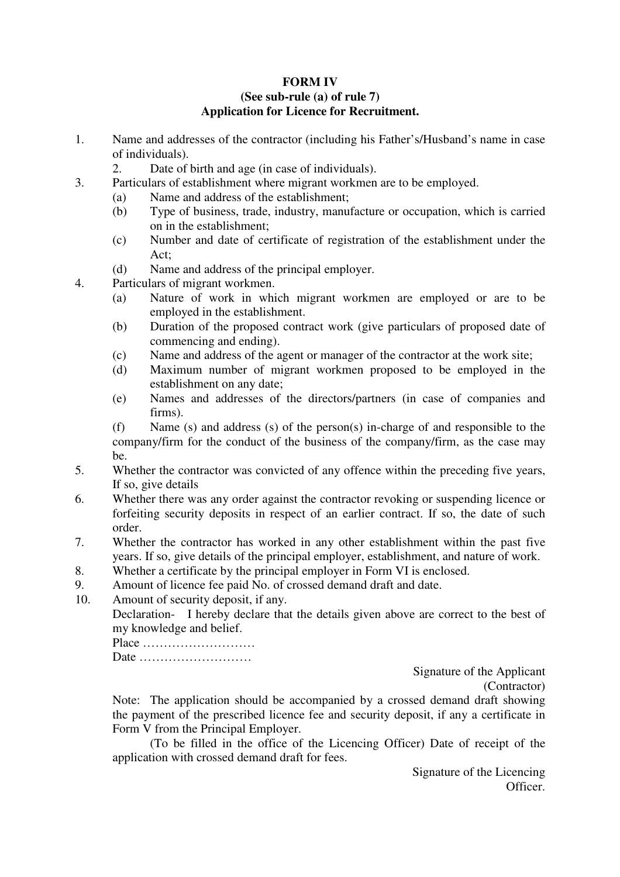## **FORM IV**

#### **(See sub-rule (a) of rule 7) Application for Licence for Recruitment.**

- 1. Name and addresses of the contractor (including his Father's/Husband's name in case of individuals).
	- 2. Date of birth and age (in case of individuals).
- 3. Particulars of establishment where migrant workmen are to be employed.
	- (a) Name and address of the establishment;
	- (b) Type of business, trade, industry, manufacture or occupation, which is carried on in the establishment;
	- (c) Number and date of certificate of registration of the establishment under the Act;
	- (d) Name and address of the principal employer.
- 4. Particulars of migrant workmen.
	- (a) Nature of work in which migrant workmen are employed or are to be employed in the establishment.
	- (b) Duration of the proposed contract work (give particulars of proposed date of commencing and ending).
	- (c) Name and address of the agent or manager of the contractor at the work site;
	- (d) Maximum number of migrant workmen proposed to be employed in the establishment on any date;
	- (e) Names and addresses of the directors/partners (in case of companies and firms).

(f) Name (s) and address (s) of the person(s) in-charge of and responsible to the company/firm for the conduct of the business of the company/firm, as the case may be.

- 5. Whether the contractor was convicted of any offence within the preceding five years, If so, give details
- 6. Whether there was any order against the contractor revoking or suspending licence or forfeiting security deposits in respect of an earlier contract. If so, the date of such order.
- 7. Whether the contractor has worked in any other establishment within the past five years. If so, give details of the principal employer, establishment, and nature of work.
- 8. Whether a certificate by the principal employer in Form VI is enclosed.
- 9. Amount of licence fee paid No. of crossed demand draft and date.
- 10. Amount of security deposit, if any.

Declaration- I hereby declare that the details given above are correct to the best of my knowledge and belief.

Place ……………………… Date ………………………

Signature of the Applicant (Contractor)

Note: The application should be accompanied by a crossed demand draft showing the payment of the prescribed licence fee and security deposit, if any a certificate in Form V from the Principal Employer.

(To be filled in the office of the Licencing Officer) Date of receipt of the application with crossed demand draft for fees.

> Signature of the Licencing **Officer**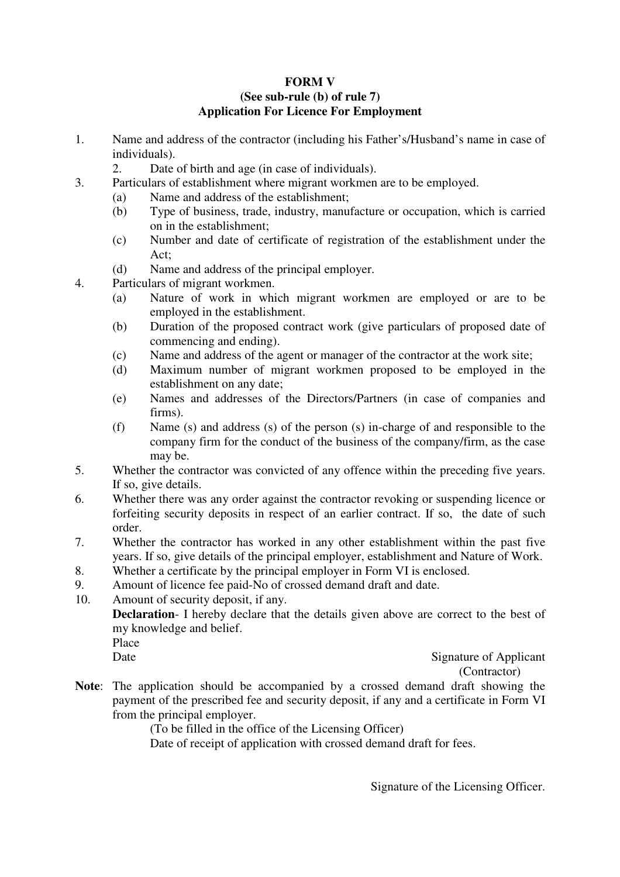#### **FORM V (See sub-rule (b) of rule 7) Application For Licence For Employment**

- 1. Name and address of the contractor (including his Father's/Husband's name in case of individuals).
	- 2. Date of birth and age (in case of individuals).
- 3. Particulars of establishment where migrant workmen are to be employed.
	- (a) Name and address of the establishment;
	- (b) Type of business, trade, industry, manufacture or occupation, which is carried on in the establishment;
	- (c) Number and date of certificate of registration of the establishment under the Act;
	- (d) Name and address of the principal employer.
- 4. Particulars of migrant workmen.
	- (a) Nature of work in which migrant workmen are employed or are to be employed in the establishment.
	- (b) Duration of the proposed contract work (give particulars of proposed date of commencing and ending).
	- (c) Name and address of the agent or manager of the contractor at the work site;
	- (d) Maximum number of migrant workmen proposed to be employed in the establishment on any date;
	- (e) Names and addresses of the Directors/Partners (in case of companies and firms).
	- (f) Name (s) and address (s) of the person (s) in-charge of and responsible to the company firm for the conduct of the business of the company/firm, as the case may be.
- 5. Whether the contractor was convicted of any offence within the preceding five years. If so, give details.
- 6. Whether there was any order against the contractor revoking or suspending licence or forfeiting security deposits in respect of an earlier contract. If so, the date of such order.
- 7. Whether the contractor has worked in any other establishment within the past five years. If so, give details of the principal employer, establishment and Nature of Work.
- 8. Whether a certificate by the principal employer in Form VI is enclosed.
- 9. Amount of licence fee paid-No of crossed demand draft and date.
- 10. Amount of security deposit, if any.

**Declaration**- I hereby declare that the details given above are correct to the best of my knowledge and belief.

Place

Date Signature of Applicant (Contractor)

**Note**: The application should be accompanied by a crossed demand draft showing the payment of the prescribed fee and security deposit, if any and a certificate in Form VI from the principal employer.

(To be filled in the office of the Licensing Officer)

Date of receipt of application with crossed demand draft for fees.

Signature of the Licensing Officer.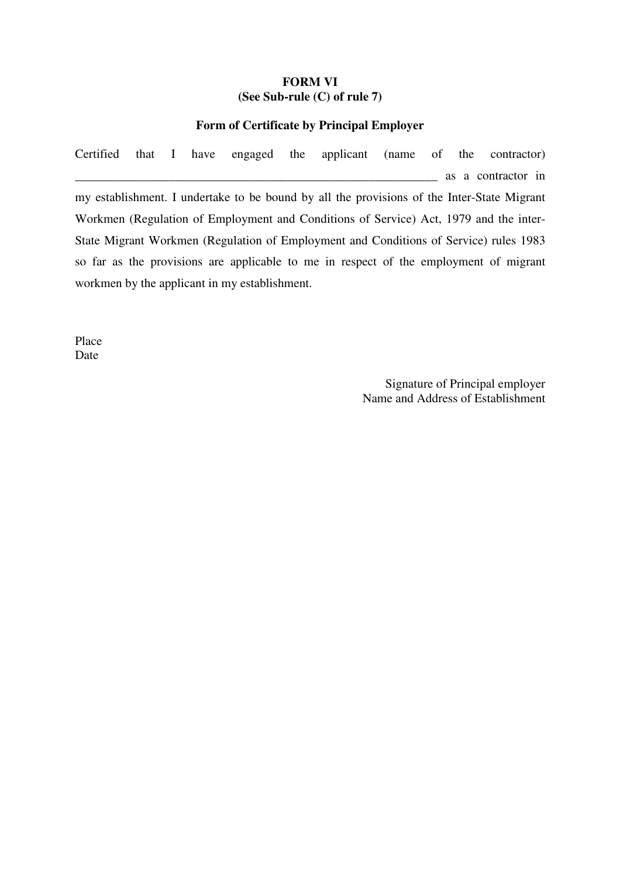#### **FORM VI (See Sub-rule (C) of rule 7)**

#### **Form of Certificate by Principal Employer**

Certified that I have engaged the applicant (name of the contractor) \_\_\_\_\_\_\_\_\_\_\_\_\_\_\_\_\_\_\_\_\_\_\_\_\_\_\_\_\_\_\_\_\_\_\_\_\_\_\_\_\_\_\_\_\_\_\_\_\_\_\_\_\_\_\_\_\_\_ as a contractor in my establishment. I undertake to be bound by all the provisions of the Inter-State Migrant Workmen (Regulation of Employment and Conditions of Service) Act, 1979 and the inter-State Migrant Workmen (Regulation of Employment and Conditions of Service) rules 1983 so far as the provisions are applicable to me in respect of the employment of migrant workmen by the applicant in my establishment.

Place Date

> Signature of Principal employer Name and Address of Establishment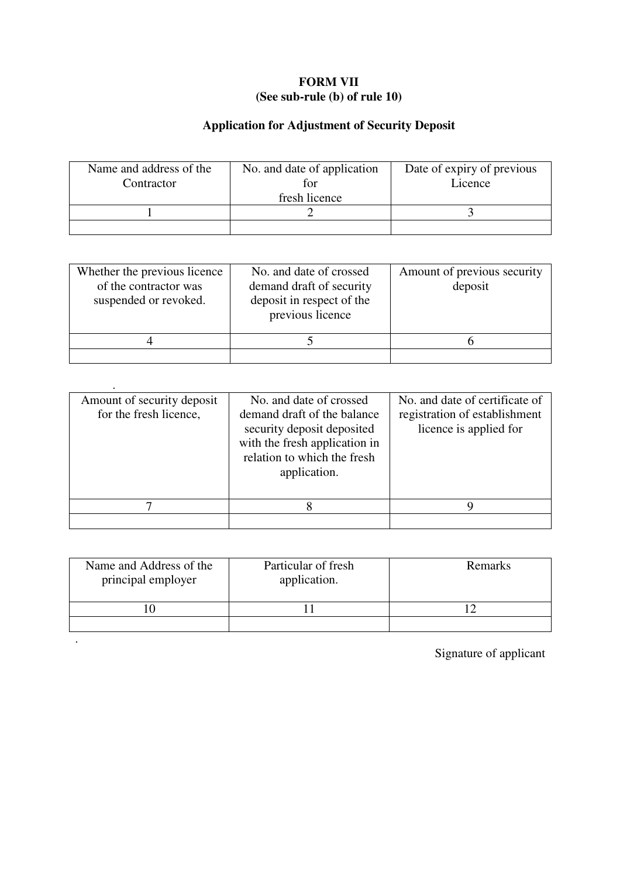## **FORM VII (See sub-rule (b) of rule 10)**

## **Application for Adjustment of Security Deposit**

| Name and address of the<br>Contractor | No. and date of application<br>tor<br>fresh licence | Date of expiry of previous<br>Licence |
|---------------------------------------|-----------------------------------------------------|---------------------------------------|
|                                       |                                                     |                                       |
|                                       |                                                     |                                       |

| Whether the previous licence<br>of the contractor was<br>suspended or revoked. | No. and date of crossed<br>demand draft of security<br>deposit in respect of the<br>previous licence | Amount of previous security<br>deposit |
|--------------------------------------------------------------------------------|------------------------------------------------------------------------------------------------------|----------------------------------------|
|                                                                                |                                                                                                      |                                        |
|                                                                                |                                                                                                      |                                        |

.

.

| Amount of security deposit<br>for the fresh licence, | No. and date of crossed<br>demand draft of the balance<br>security deposit deposited<br>with the fresh application in<br>relation to which the fresh<br>application. | No. and date of certificate of<br>registration of establishment<br>licence is applied for |
|------------------------------------------------------|----------------------------------------------------------------------------------------------------------------------------------------------------------------------|-------------------------------------------------------------------------------------------|
|                                                      |                                                                                                                                                                      |                                                                                           |
|                                                      |                                                                                                                                                                      |                                                                                           |

| Name and Address of the<br>principal employer | Particular of fresh<br>application. | Remarks |
|-----------------------------------------------|-------------------------------------|---------|
|                                               |                                     |         |
|                                               |                                     |         |

Signature of applicant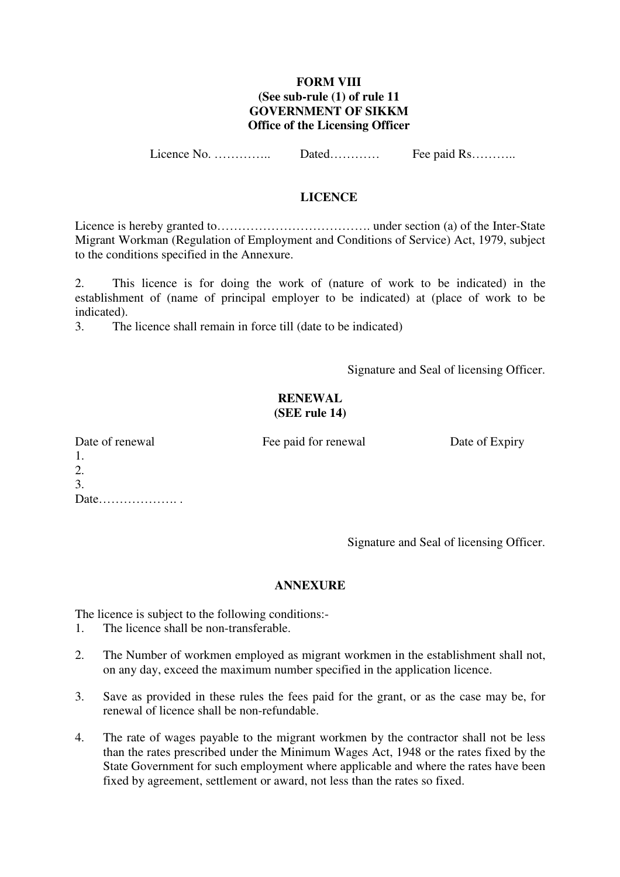#### **FORM VIII (See sub-rule (1) of rule 11 GOVERNMENT OF SIKKM Office of the Licensing Officer**

Licence No. ………….. Dated………… Fee paid Rs………..

#### **LICENCE**

Licence is hereby granted to………………………………. under section (a) of the Inter-State Migrant Workman (Regulation of Employment and Conditions of Service) Act, 1979, subject to the conditions specified in the Annexure.

2. This licence is for doing the work of (nature of work to be indicated) in the establishment of (name of principal employer to be indicated) at (place of work to be indicated).

3. The licence shall remain in force till (date to be indicated)

Signature and Seal of licensing Officer.

#### **RENEWAL (SEE rule 14)**

| Date of renewal |
|-----------------|
| -1.             |
| 2.              |
| 3.              |
| Date            |

Fee paid for renewal Date of Expiry

Signature and Seal of licensing Officer.

#### **ANNEXURE**

The licence is subject to the following conditions:-

- 1. The licence shall be non-transferable.
- 2. The Number of workmen employed as migrant workmen in the establishment shall not, on any day, exceed the maximum number specified in the application licence.
- 3. Save as provided in these rules the fees paid for the grant, or as the case may be, for renewal of licence shall be non-refundable.
- 4. The rate of wages payable to the migrant workmen by the contractor shall not be less than the rates prescribed under the Minimum Wages Act, 1948 or the rates fixed by the State Government for such employment where applicable and where the rates have been fixed by agreement, settlement or award, not less than the rates so fixed.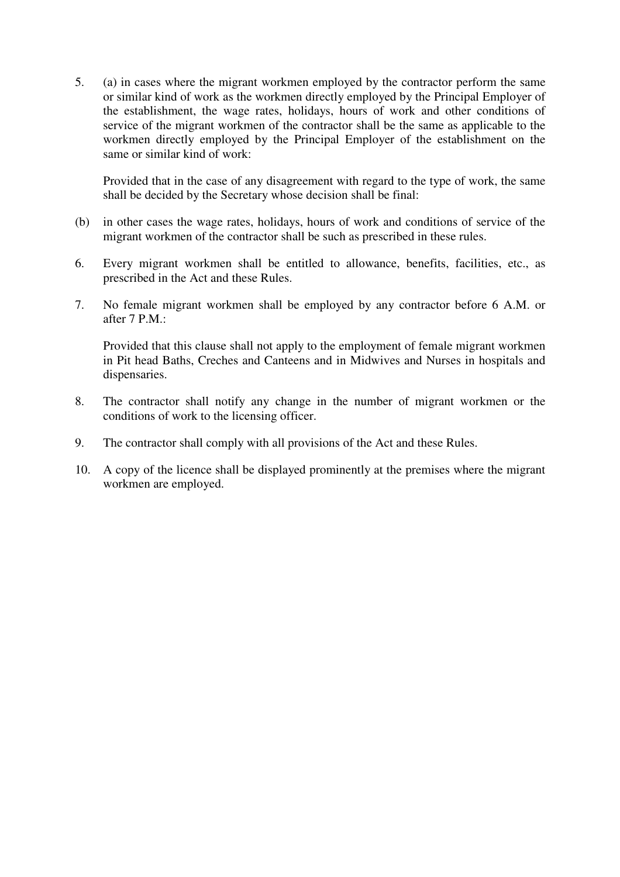5. (a) in cases where the migrant workmen employed by the contractor perform the same or similar kind of work as the workmen directly employed by the Principal Employer of the establishment, the wage rates, holidays, hours of work and other conditions of service of the migrant workmen of the contractor shall be the same as applicable to the workmen directly employed by the Principal Employer of the establishment on the same or similar kind of work:

Provided that in the case of any disagreement with regard to the type of work, the same shall be decided by the Secretary whose decision shall be final:

- (b) in other cases the wage rates, holidays, hours of work and conditions of service of the migrant workmen of the contractor shall be such as prescribed in these rules.
- 6. Every migrant workmen shall be entitled to allowance, benefits, facilities, etc., as prescribed in the Act and these Rules.
- 7. No female migrant workmen shall be employed by any contractor before 6 A.M. or after 7 P.M.:

Provided that this clause shall not apply to the employment of female migrant workmen in Pit head Baths, Creches and Canteens and in Midwives and Nurses in hospitals and dispensaries.

- 8. The contractor shall notify any change in the number of migrant workmen or the conditions of work to the licensing officer.
- 9. The contractor shall comply with all provisions of the Act and these Rules.
- 10. A copy of the licence shall be displayed prominently at the premises where the migrant workmen are employed.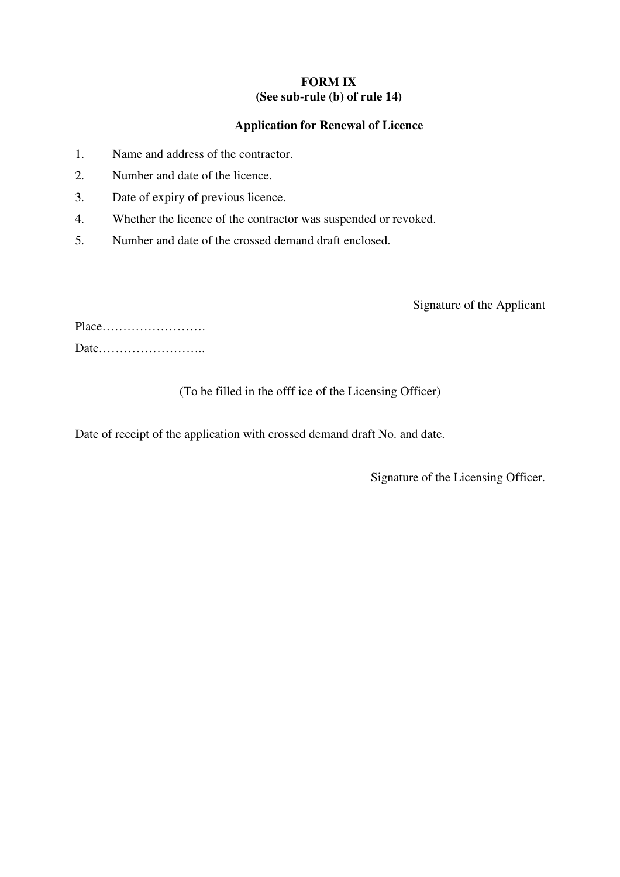#### **FORM IX (See sub-rule (b) of rule 14)**

## **Application for Renewal of Licence**

- 1. Name and address of the contractor.
- 2. Number and date of the licence.
- 3. Date of expiry of previous licence.
- 4. Whether the licence of the contractor was suspended or revoked.
- 5. Number and date of the crossed demand draft enclosed.

Signature of the Applicant

## (To be filled in the offf ice of the Licensing Officer)

Date of receipt of the application with crossed demand draft No. and date.

Signature of the Licensing Officer.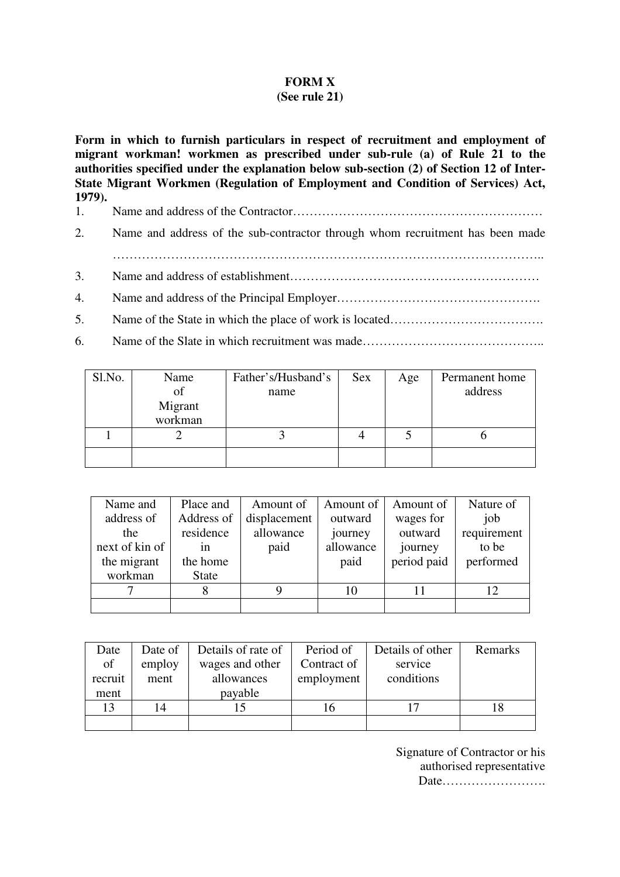## **FORM X**

#### **(See rule 21)**

**Form in which to furnish particulars in respect of recruitment and employment of migrant workman! workmen as prescribed under sub-rule (a) of Rule 21 to the authorities specified under the explanation below sub-section (2) of Section 12 of Inter-State Migrant Workmen (Regulation of Employment and Condition of Services) Act, 1979).** 

- 1. Name and address of the Contractor……………………………………………………
- 2. Name and address of the sub-contractor through whom recruitment has been made
	- …………………………………………………………………………………………..
- 3. Name and address of establishment……………………………………………………
- 4. Name and address of the Principal Employer………………………………………….
- 5. Name of the State in which the place of work is located……………………………….
- 6. Name of the Slate in which recruitment was made……………………………………..

| Sl.No. | Name    | Father's/Husband's | Sex | Age | Permanent home |
|--------|---------|--------------------|-----|-----|----------------|
|        | of      | name               |     |     | address        |
|        | Migrant |                    |     |     |                |
|        | workman |                    |     |     |                |
|        |         |                    |     |     |                |
|        |         |                    |     |     |                |

| Name and       | Place and    | Amount of    | Amount of | Amount of   | Nature of       |
|----------------|--------------|--------------|-----------|-------------|-----------------|
| address of     | Address of   | displacement | outward   | wages for   | job             |
| the            | residence    | allowance    | journey   | outward     | requirement     |
| next of kin of | 1n           | paid         | allowance | journey     | to be           |
| the migrant    | the home     |              | paid      | period paid | performed       |
| workman        | <b>State</b> |              |           |             |                 |
|                |              |              | 10        |             | 12 <sub>1</sub> |
|                |              |              |           |             |                 |

| Date    | Date of | Details of rate of | Period of   | Details of other | Remarks |
|---------|---------|--------------------|-------------|------------------|---------|
| of      | employ  | wages and other    | Contract of | service          |         |
| recruit | ment    | allowances         | employment  | conditions       |         |
| ment    |         | payable            |             |                  |         |
| 13      | 14      |                    | 16          |                  |         |
|         |         |                    |             |                  |         |

Signature of Contractor or his authorised representative Date…………………….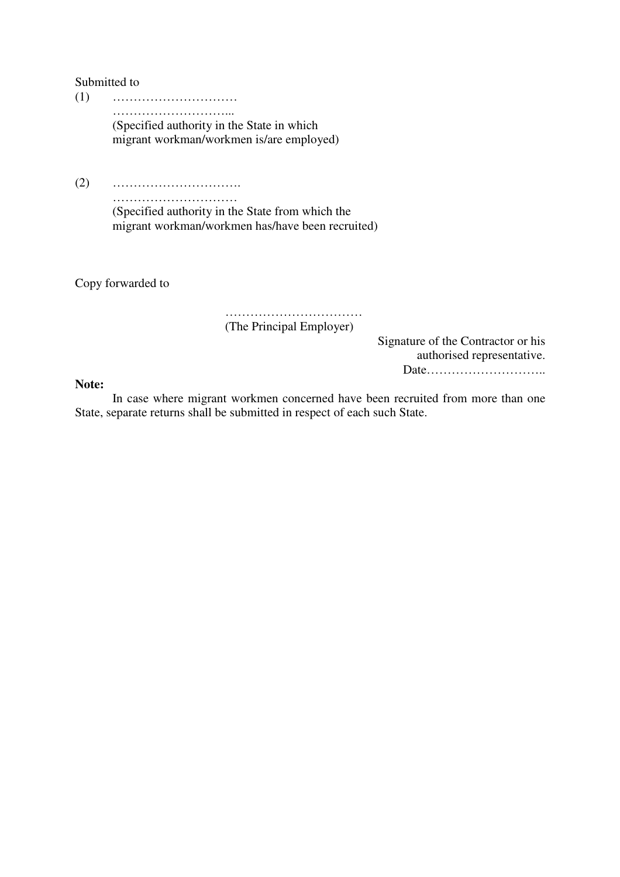Submitted to

(1) ………………………… ………………………... (Specified authority in the State in which migrant workman/workmen is/are employed)

(2) ………………………….

…………………………… (Specified authority in the State from which the migrant workman/workmen has/have been recruited)

Copy forwarded to

 …………………………… (The Principal Employer)

> Signature of the Contractor or his authorised representative. Date………………………..

**Note:** 

In case where migrant workmen concerned have been recruited from more than one State, separate returns shall be submitted in respect of each such State.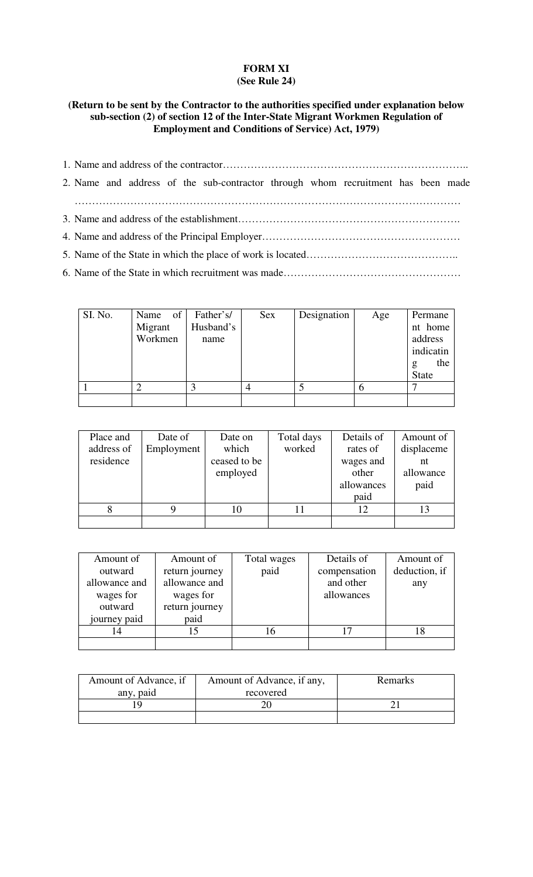## **FORM XI (See Rule 24)**

## **(Return to be sent by the Contractor to the authorities specified under explanation below sub-section (2) of section 12 of the Inter-State Migrant Workmen Regulation of Employment and Conditions of Service) Act, 1979)**

- 1. Name and address of the contractor……………………………………………………………..
- 2. Name and address of the sub-contractor through whom recruitment has been made …………………………………………………………………………………………………
- 3. Name and address of the establishment……………………………………………………….
- 4. Name and address of the Principal Employer…………………………………………………
- 5. Name of the State in which the place of work is located……………………………………..

6. Name of the State in which recruitment was made……………………………………………

| SI. No. | Name of | Father's/ | <b>Sex</b> | Designation | Age | Permane      |
|---------|---------|-----------|------------|-------------|-----|--------------|
|         | Migrant | Husband's |            |             |     | nt home      |
|         | Workmen | name      |            |             |     | address      |
|         |         |           |            |             |     | indicatin    |
|         |         |           |            |             |     | the<br>g     |
|         |         |           |            |             |     | <b>State</b> |
|         |         |           |            |             |     |              |
|         |         |           |            |             |     |              |

| Place and  | Date of    | Date on      | Total days | Details of | Amount of  |
|------------|------------|--------------|------------|------------|------------|
| address of | Employment | which        | worked     | rates of   | displaceme |
| residence  |            | ceased to be |            | wages and  | nt         |
|            |            | employed     |            | other      | allowance  |
|            |            |              |            | allowances | paid       |
|            |            |              |            | paid       |            |
|            |            | 10           |            |            |            |
|            |            |              |            |            |            |

| Amount of     | Amount of      | Total wages | Details of   | Amount of     |
|---------------|----------------|-------------|--------------|---------------|
| outward       | return journey | paid        | compensation | deduction, if |
| allowance and | allowance and  |             | and other    | any           |
| wages for     | wages for      |             | allowances   |               |
| outward       | return journey |             |              |               |
| journey paid  | paid           |             |              |               |
|               |                | . რ         |              |               |
|               |                |             |              |               |

| Amount of Advance, if<br>Amount of Advance, if any, |           | Remarks |
|-----------------------------------------------------|-----------|---------|
| any, paid                                           | recovered |         |
|                                                     |           |         |
|                                                     |           |         |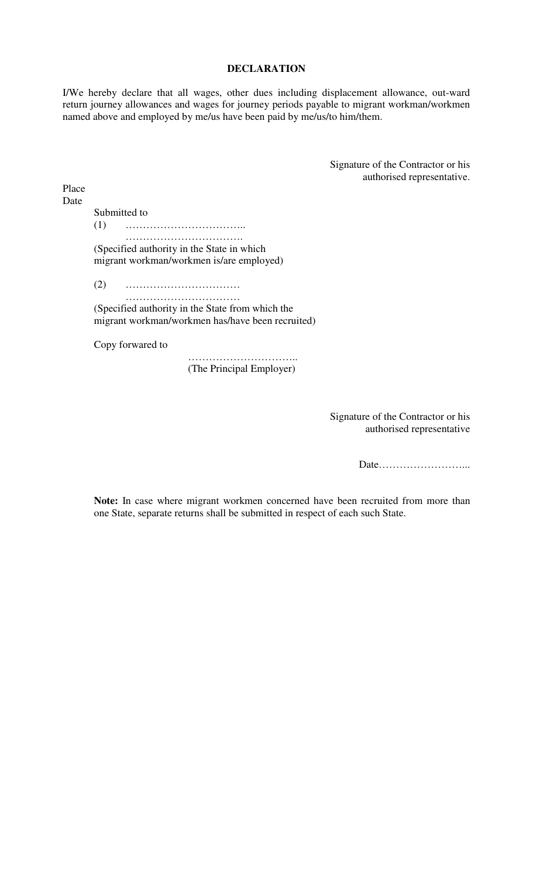#### **DECLARATION**

I/We hereby declare that all wages, other dues including displacement allowance, out-ward return journey allowances and wages for journey periods payable to migrant workman/workmen named above and employed by me/us have been paid by me/us/to him/them.

> Signature of the Contractor or his authorised representative.

Place Date

Submitted to

(1) …………………………….. …………………………………

(Specified authority in the State in which migrant workman/workmen is/are employed)

(2) ……………………………

 …………………………… (Specified authority in the State from which the migrant workman/workmen has/have been recruited)

Copy forwared to

………………………………… (The Principal Employer)

> Signature of the Contractor or his authorised representative

> > Date……………………...

**Note:** In case where migrant workmen concerned have been recruited from more than one State, separate returns shall be submitted in respect of each such State.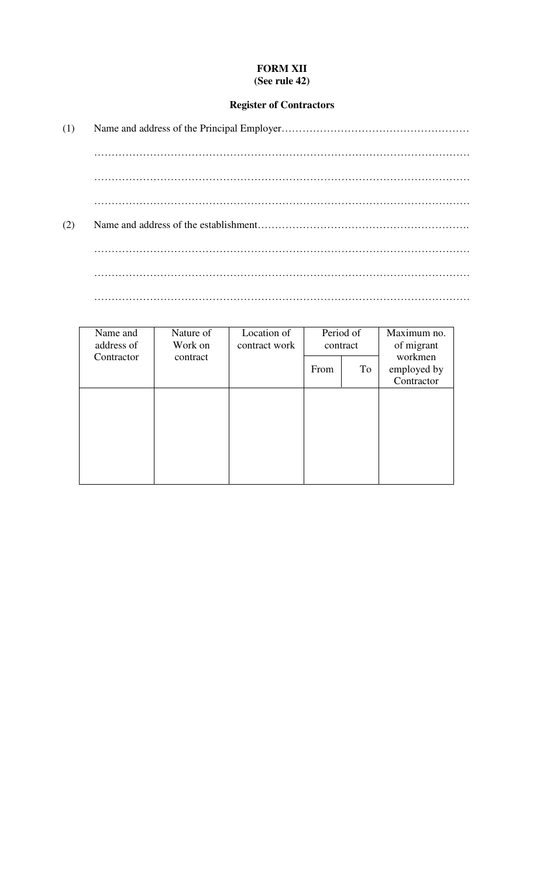## **FORM XII (See rule 42)**

## **Register of Contractors**

| (1) |  |
|-----|--|
|     |  |
|     |  |
|     |  |
| (2) |  |
|     |  |
|     |  |
|     |  |

| Name and<br>address of | Nature of<br>Work on | Location of<br>contract work | Period of<br>contract |    | Maximum no.<br>of migrant            |
|------------------------|----------------------|------------------------------|-----------------------|----|--------------------------------------|
| Contractor             | contract             |                              | From                  | To | workmen<br>employed by<br>Contractor |
|                        |                      |                              |                       |    |                                      |
|                        |                      |                              |                       |    |                                      |
|                        |                      |                              |                       |    |                                      |
|                        |                      |                              |                       |    |                                      |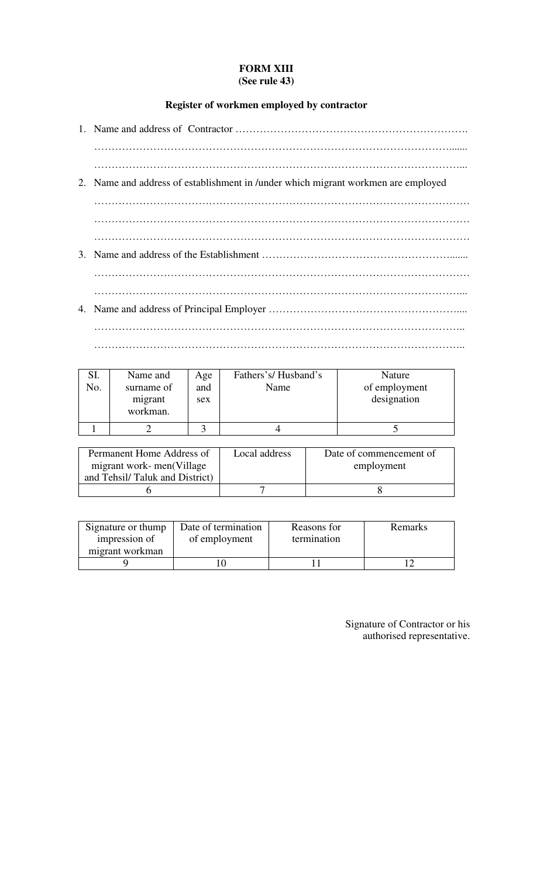#### **FORM XIII (See rule 43)**

# **Register of workmen employed by contractor**

| 2. Name and address of establishment in /under which migrant workmen are employed |
|-----------------------------------------------------------------------------------|
|                                                                                   |
|                                                                                   |
|                                                                                   |
|                                                                                   |
|                                                                                   |
|                                                                                   |
|                                                                                   |
|                                                                                   |

| SI.<br>No. | Name and<br>surname of<br>migrant<br>workman. | Age<br>and<br>sex | Fathers's/Husband's<br>Name | Nature<br>of employment<br>designation |
|------------|-----------------------------------------------|-------------------|-----------------------------|----------------------------------------|
|            |                                               |                   |                             |                                        |

……………………………………………………………………………………………..

| Permanent Home Address of      | Local address | Date of commencement of |
|--------------------------------|---------------|-------------------------|
| migrant work-men(Village       |               | employment              |
| and Tehsil/Taluk and District) |               |                         |
|                                |               |                         |

| Signature or thump               | Date of termination | Reasons for | Remarks |
|----------------------------------|---------------------|-------------|---------|
| impression of<br>migrant workman | of employment       | termination |         |
|                                  |                     |             |         |

Signature of Contractor or his authorised representative.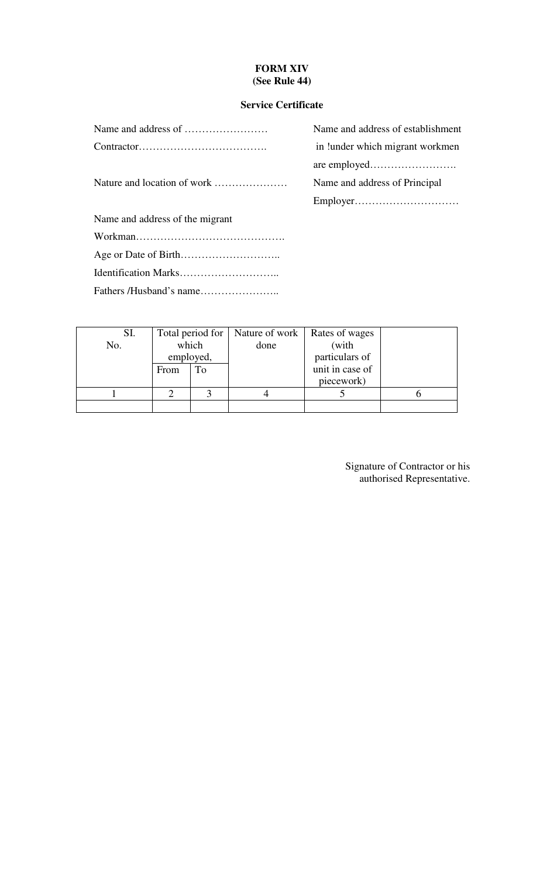## **FORM XIV (See Rule 44)**

## **Service Certificate**

|                                 | Name and address of establishment |
|---------------------------------|-----------------------------------|
|                                 | in ! under which migrant workmen  |
|                                 |                                   |
| Nature and location of work     | Name and address of Principal     |
|                                 |                                   |
| Name and address of the migrant |                                   |
|                                 |                                   |
|                                 |                                   |
|                                 |                                   |
|                                 |                                   |

| Name and address of establishment |
|-----------------------------------|
| in !under which migrant workmen   |
|                                   |
| Name and address of Principal     |
|                                   |

| SI. |           |    | Total period for   Nature of work   Rates of wages |                 |      |       |  |
|-----|-----------|----|----------------------------------------------------|-----------------|------|-------|--|
| No. | which     |    |                                                    |                 | done | (with |  |
|     | employed, |    | particulars of                                     |                 |      |       |  |
|     | From      | To |                                                    | unit in case of |      |       |  |
|     |           |    |                                                    | piecework)      |      |       |  |
|     |           |    |                                                    |                 |      |       |  |
|     |           |    |                                                    |                 |      |       |  |

Signature of Contractor or his authorised Representative.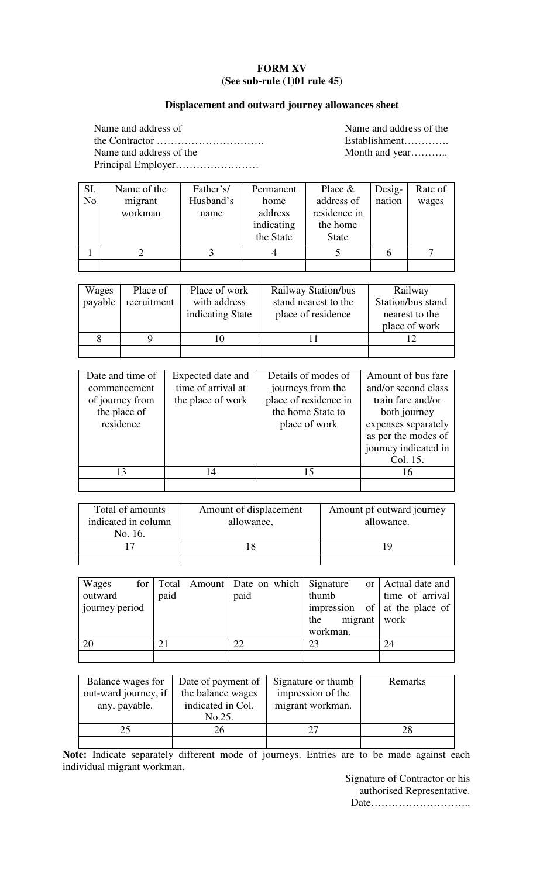## **FORM XV (See sub-rule (1)01 rule 45)**

## **Displacement and outward journey allowances sheet**

| Name and address of     |
|-------------------------|
|                         |
| Name and address of the |
|                         |

Name and address of the Establishment…………… Month and year……….

| SI.            | Name of the | Father's/ | Permanent  | Place $&$    | Desig- | Rate of |
|----------------|-------------|-----------|------------|--------------|--------|---------|
| N <sub>o</sub> | migrant     | Husband's | home       | address of   | nation | wages   |
|                | workman     | name      | address    | residence in |        |         |
|                |             |           | indicating | the home     |        |         |
|                |             |           | the State  | <b>State</b> |        |         |
|                |             |           |            |              |        |         |
|                |             |           |            |              |        |         |

| Wages<br>payable | Place of<br>recruitment | Place of work<br>with address<br>indicating State | Railway Station/bus<br>stand nearest to the<br>place of residence | Railway<br>Station/bus stand<br>nearest to the<br>place of work |
|------------------|-------------------------|---------------------------------------------------|-------------------------------------------------------------------|-----------------------------------------------------------------|
|                  |                         |                                                   |                                                                   |                                                                 |
|                  |                         |                                                   |                                                                   |                                                                 |

| Date and time of | Expected date and  | Details of modes of   | Amount of bus fare   |
|------------------|--------------------|-----------------------|----------------------|
| commencement     | time of arrival at | journeys from the     | and/or second class  |
| of journey from  | the place of work  | place of residence in | train fare and/or    |
| the place of     |                    | the home State to     | both journey         |
| residence        |                    | place of work         | expenses separately  |
|                  |                    |                       | as per the modes of  |
|                  |                    |                       | journey indicated in |
|                  |                    |                       | Col. 15.             |
| 13               | 14                 | 15                    | 16                   |
|                  |                    |                       |                      |

| Total of amounts<br>indicated in column<br>No. 16. | Amount of displacement<br>allowance, | Amount pf outward journey<br>allowance. |
|----------------------------------------------------|--------------------------------------|-----------------------------------------|
|                                                    |                                      |                                         |
|                                                    |                                      |                                         |

| Wages          |             |      |                  |  | for   Total Amount   Date on which   Signature or   Actual date and |
|----------------|-------------|------|------------------|--|---------------------------------------------------------------------|
| outward        | paid        | paid | thumb            |  | time of arrival                                                     |
| journey period |             |      |                  |  | impression of $\vert$ at the place of                               |
|                |             |      | the migrant work |  |                                                                     |
|                |             |      | workman.         |  |                                                                     |
| 20             | $2^{\circ}$ | 22   | 23               |  | 24                                                                  |
|                |             |      |                  |  |                                                                     |

| Balance wages for<br>out-ward journey, if<br>any, payable. | Date of payment of<br>the balance wages<br>indicated in Col. | Signature or thumb<br>impression of the<br>migrant workman. | Remarks |
|------------------------------------------------------------|--------------------------------------------------------------|-------------------------------------------------------------|---------|
|                                                            | No.25.                                                       |                                                             |         |
|                                                            | 26                                                           |                                                             |         |
|                                                            |                                                              |                                                             |         |

**Note:** Indicate separately different mode of journeys. Entries are to be made against each individual migrant workman.

Signature of Contractor or his authorised Representative. Date………………………..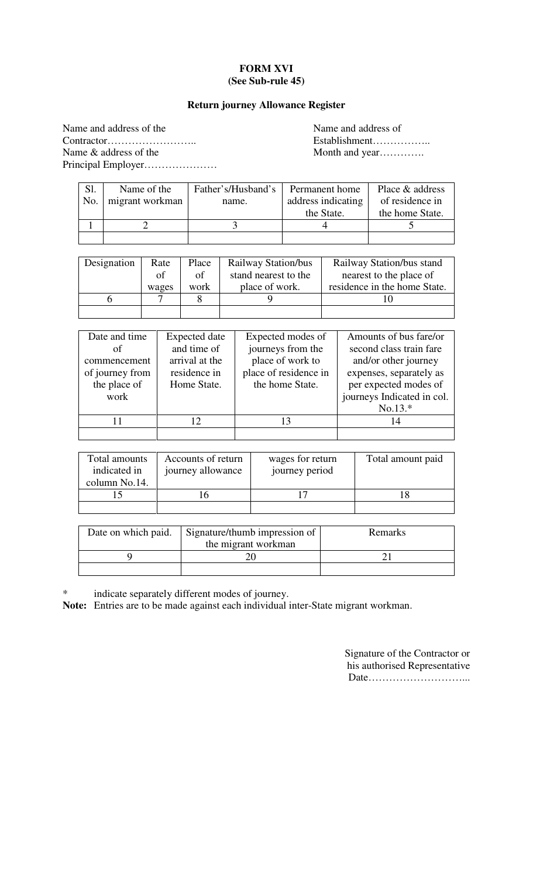## **FORM XVI (See Sub-rule 45)**

#### **Return journey Allowance Register**

Name and address of the Name and address of Contractor…………………….. Establishment…………….. Name & address of the Month and year………….. Principal Employer…………………

| Sl. | Name of the     | Father's/Husband's | Permanent home     | Place & address |
|-----|-----------------|--------------------|--------------------|-----------------|
| No. | migrant workman | name.              | address indicating | of residence in |
|     |                 |                    | the State.         | the home State. |
|     |                 |                    |                    |                 |
|     |                 |                    |                    |                 |

| Designation | Rate  | Place | Railway Station/bus  | Railway Station/bus stand    |
|-------------|-------|-------|----------------------|------------------------------|
|             | of    | of    | stand nearest to the | nearest to the place of      |
|             | wages | work  | place of work.       | residence in the home State. |
|             |       |       |                      |                              |
|             |       |       |                      |                              |

| Date and time   | <b>Expected</b> date | Expected modes of     | Amounts of bus fare/or     |
|-----------------|----------------------|-----------------------|----------------------------|
| οf              | and time of          | journeys from the     | second class train fare    |
| commencement    | arrival at the       | place of work to      | and/or other journey       |
| of journey from | residence in         | place of residence in | expenses, separately as    |
| the place of    | Home State.          | the home State.       | per expected modes of      |
| work            |                      |                       | journeys Indicated in col. |
|                 |                      |                       | $No.13.*$                  |
|                 | $12^{\circ}$         | 13                    | 14                         |
|                 |                      |                       |                            |

| Total amounts<br>indicated in<br>column No.14. | Accounts of return<br>journey allowance | wages for return<br>journey period | Total amount paid |
|------------------------------------------------|-----------------------------------------|------------------------------------|-------------------|
|                                                |                                         |                                    |                   |
|                                                |                                         |                                    |                   |

| Date on which paid. | Signature/thumb impression of | <b>Remarks</b> |
|---------------------|-------------------------------|----------------|
|                     | the migrant workman           |                |
|                     |                               |                |
|                     |                               |                |

\* indicate separately different modes of journey.

**Note:** Entries are to be made against each individual inter-State migrant workman.

Signature of the Contractor or his authorised Representative Date………………………...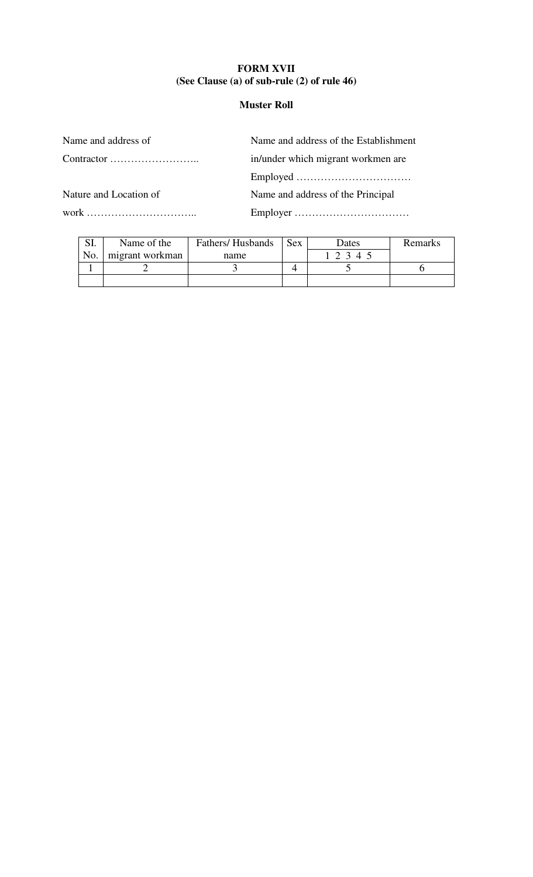## **FORM XVII (See Clause (a) of sub-rule (2) of rule 46)**

## **Muster Roll**

Name and address of Name and address of the Establishment

Contractor …………………….. in/under which migrant workmen are

Employed ……………………………

Nature and Location of Name and address of the Principal

work ………………………….. Employer ……………………………

| $\mathbf{C}$ T | Name of the     | Fathers/Husbands | <b>Sex</b> | Dates | Remarks |
|----------------|-----------------|------------------|------------|-------|---------|
| No.            | migrant workman | name             |            | 2 3 4 |         |
|                |                 |                  |            |       |         |
|                |                 |                  |            |       |         |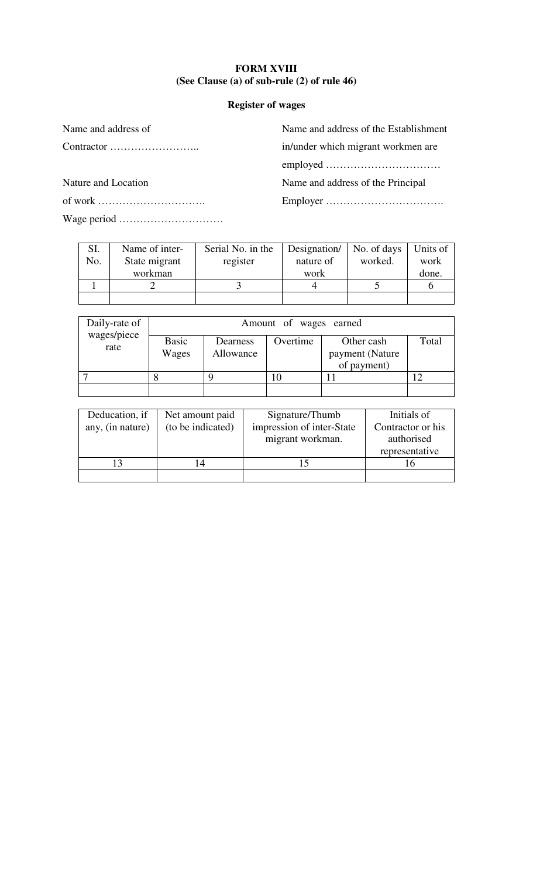## **FORM XVIII (See Clause (a) of sub-rule (2) of rule 46)**

## **Register of wages**

Wage period …………………………

Name and address of Name and address of the Establishment Contractor …………………….. in/under which migrant workmen are employed ……………………………

Nature and Location Name and address of the Principal

of work …………………………. Employer …………………………….

| SI. | Name of inter- | Serial No. in the | Designation/ | No. of days | Units of |
|-----|----------------|-------------------|--------------|-------------|----------|
| No. | State migrant  | register          | nature of    | worked.     | work     |
|     | workman        |                   | work         |             | done.    |
|     |                |                   |              |             |          |
|     |                |                   |              |             |          |

| Daily-rate of       |                       | Amount of wages earned |          |                                              |       |  |  |
|---------------------|-----------------------|------------------------|----------|----------------------------------------------|-------|--|--|
| wages/piece<br>rate | <b>Basic</b><br>Wages | Dearness<br>Allowance  | Overtime | Other cash<br>payment (Nature<br>of payment) | Total |  |  |
|                     |                       |                        |          |                                              |       |  |  |
|                     |                       |                        |          |                                              |       |  |  |

| Deducation, if   | Net amount paid   | Signature/Thumb           | Initials of       |
|------------------|-------------------|---------------------------|-------------------|
| any, (in nature) | (to be indicated) | impression of inter-State | Contractor or his |
|                  |                   | migrant workman.          | authorised        |
|                  |                   |                           | representative    |
|                  |                   |                           | I h               |
|                  |                   |                           |                   |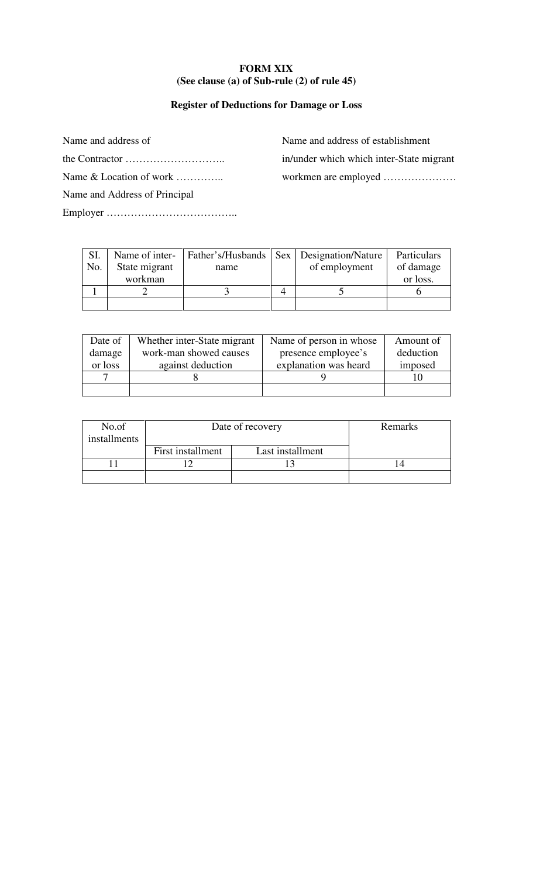## **FORM XIX (See clause (a) of Sub-rule (2) of rule 45)**

## **Register of Deductions for Damage or Loss**

Name and address of Name and address of establishment the Contractor ……………………….. in/under which which inter-State migrant Name & Location of work ………….. workmen are employed ………………… Name and Address of Principal Employer ………………………………..

| SI.<br>No. | Name of inter-<br>State migrant | name | Father's/Husbands   Sex   Designation/Nature<br>of employment | Particulars<br>of damage |
|------------|---------------------------------|------|---------------------------------------------------------------|--------------------------|
|            | workman                         |      |                                                               | or loss.                 |
|            |                                 |      |                                                               |                          |
|            |                                 |      |                                                               |                          |

| Date of | Whether inter-State migrant | Name of person in whose | Amount of |
|---------|-----------------------------|-------------------------|-----------|
| damage  | work-man showed causes      | presence employee's     | deduction |
| or loss | against deduction           | explanation was heard   | imposed   |
|         |                             |                         |           |
|         |                             |                         |           |

| No.of<br>installments | Date of recovery  |                  | Remarks |
|-----------------------|-------------------|------------------|---------|
|                       | First installment | Last installment |         |
|                       |                   |                  |         |
|                       |                   |                  |         |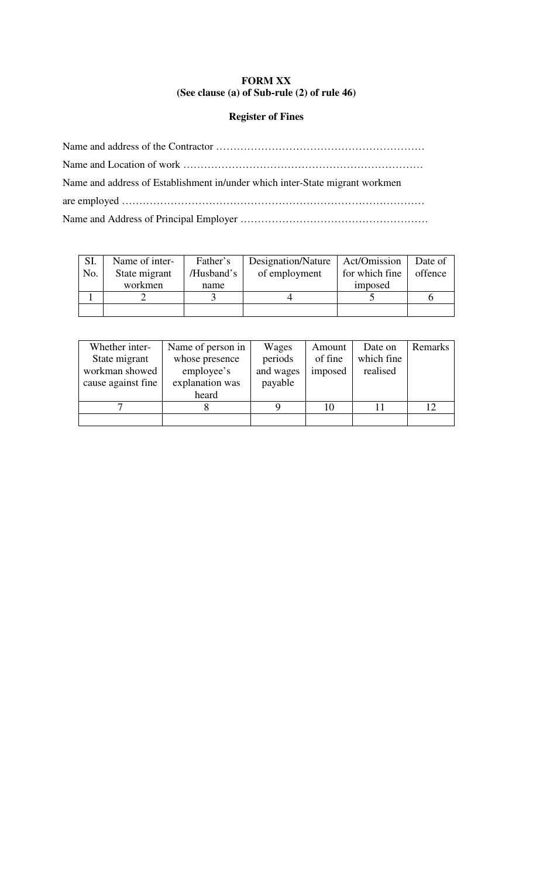## **FORM XX (See clause (a) of Sub-rule (2) of rule 46)**

#### **Register of Fines**

Name and address of the Contractor …………………………………………………… Name and Location of work …………………………………………………………… Name and address of Establishment in/under which inter-State migrant workmen are employed …………………………………………………………………………… Name and Address of Principal Employer ………………………………………………

| SI. | Name of inter- | Father's   | Designation/Nature   Act/Omission |                | Date of |
|-----|----------------|------------|-----------------------------------|----------------|---------|
| No. | State migrant  | /Husband's | of employment                     | for which fine | offence |
|     | workmen        | name       |                                   | imposed        |         |
|     |                |            |                                   |                |         |
|     |                |            |                                   |                |         |

| Whether inter-     | Name of person in | Wages     | Amount  | Date on    | Remarks |
|--------------------|-------------------|-----------|---------|------------|---------|
| State migrant      | whose presence    | periods   | of fine | which fine |         |
| workman showed     | employee's        | and wages | imposed | realised   |         |
| cause against fine | explanation was   | payable   |         |            |         |
|                    | heard             |           |         |            |         |
|                    |                   |           | 10      |            | 12      |
|                    |                   |           |         |            |         |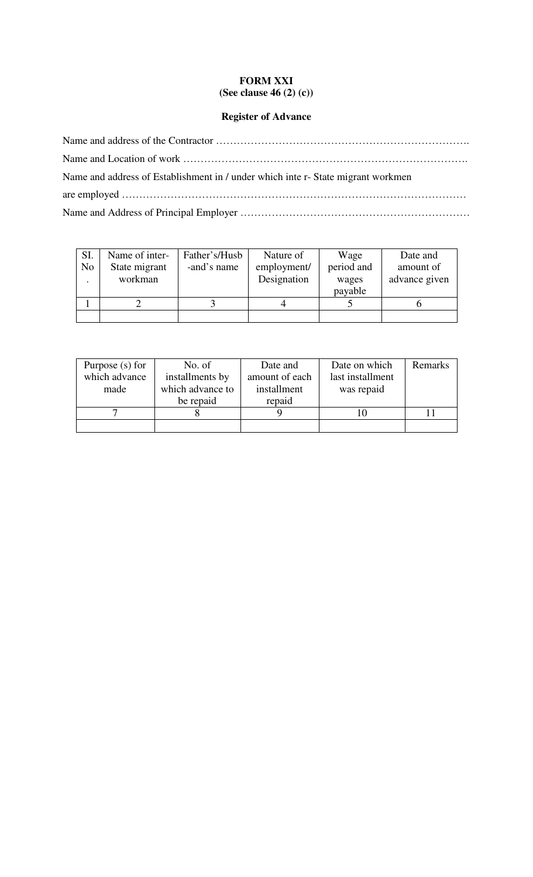## **FORM XXI (See clause 46 (2) (c))**

# **Register of Advance**

| Name and address of Establishment in / under which inte r- State migrant workmen |
|----------------------------------------------------------------------------------|
|                                                                                  |
|                                                                                  |

| SI.            | Name of inter- | Father's/Husb | Nature of   | Wage       | Date and      |
|----------------|----------------|---------------|-------------|------------|---------------|
| N <sub>o</sub> | State migrant  | -and's name   | employment/ | period and | amount of     |
|                | workman        |               | Designation | wages      | advance given |
|                |                |               |             | payable    |               |
|                |                |               |             |            |               |
|                |                |               |             |            |               |

| Purpose $(s)$ for                | No. of    | Date and                           | Date on which | <b>Remarks</b> |
|----------------------------------|-----------|------------------------------------|---------------|----------------|
| which advance<br>installments by |           | amount of each<br>last installment |               |                |
| which advance to<br>made         |           | installment                        | was repaid    |                |
|                                  | be repaid | repaid                             |               |                |
|                                  |           |                                    |               |                |
|                                  |           |                                    |               |                |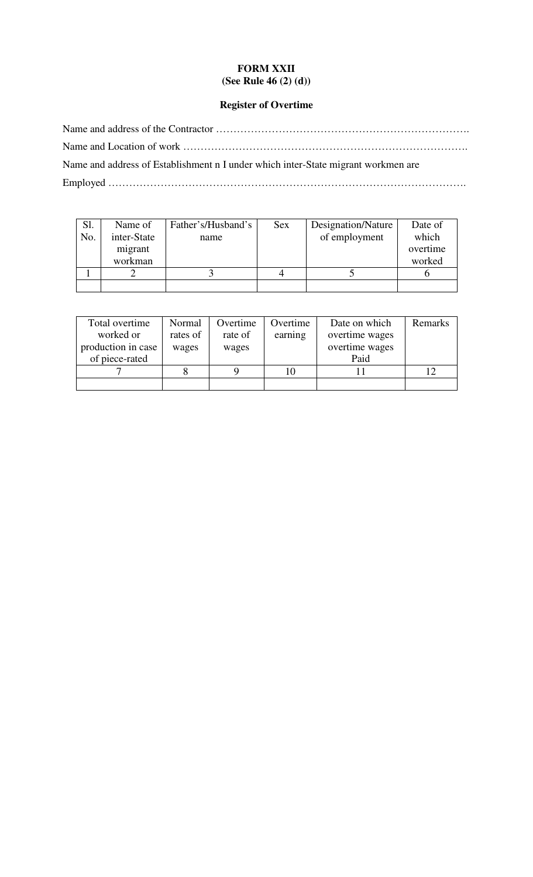## **FORM XXII (See Rule 46 (2) (d))**

## **Register of Overtime**

Name and address of the Contractor ………………………………………………………………. Name and Location of work ………………………………………………………………………. Name and address of Establishment n I under which inter-State migrant workmen are Employed ………………………………………………………………………………………….

| Sl. | Name of     | Father's/Husband's | <b>Sex</b> | Designation/Nature | Date of  |
|-----|-------------|--------------------|------------|--------------------|----------|
| No. | inter-State | name               |            | of employment      | which    |
|     | migrant     |                    |            |                    | overtime |
|     | workman     |                    |            |                    | worked   |
|     |             |                    |            |                    |          |
|     |             |                    |            |                    |          |

| Total overtime<br>Normal |          | Overtime | Overtime | Date on which  | Remarks |
|--------------------------|----------|----------|----------|----------------|---------|
| worked or                | rates of | rate of  | earning  | overtime wages |         |
| production in case       | wages    | wages    |          | overtime wages |         |
| of piece-rated           |          |          |          | Paid           |         |
|                          |          |          |          |                |         |
|                          |          |          |          |                |         |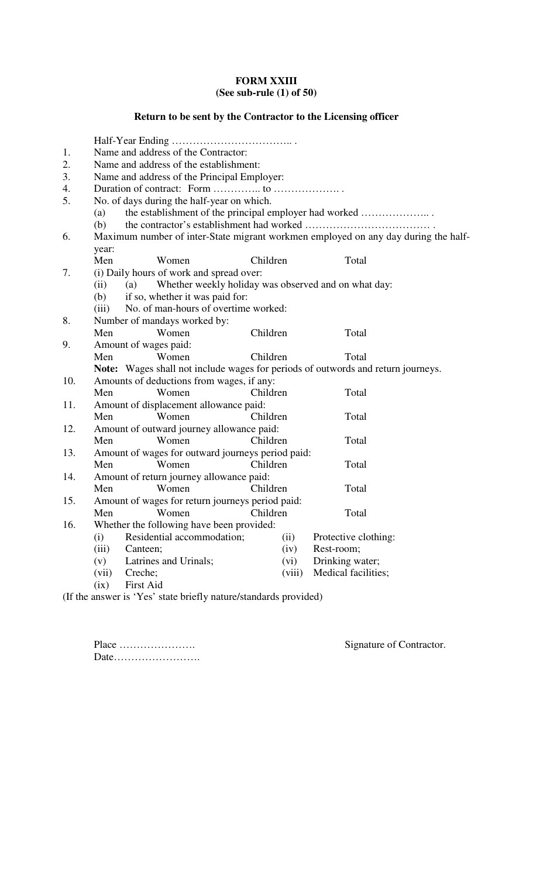## **FORM XXIII (See sub-rule (1) of 50)**

# **Return to be sent by the Contractor to the Licensing officer**

| 1.  | Name and address of the Contractor:                                                |                                                                                  |                                        |  |  |  |  |  |
|-----|------------------------------------------------------------------------------------|----------------------------------------------------------------------------------|----------------------------------------|--|--|--|--|--|
| 2.  | Name and address of the establishment:                                             |                                                                                  |                                        |  |  |  |  |  |
| 3.  | Name and address of the Principal Employer:                                        |                                                                                  |                                        |  |  |  |  |  |
| 4.  |                                                                                    |                                                                                  |                                        |  |  |  |  |  |
| 5.  | No. of days during the half-year on which.                                         |                                                                                  |                                        |  |  |  |  |  |
|     | (a)                                                                                | the establishment of the principal employer had worked                           |                                        |  |  |  |  |  |
|     | (b)                                                                                |                                                                                  |                                        |  |  |  |  |  |
| 6.  | Maximum number of inter-State migrant workmen employed on any day during the half- |                                                                                  |                                        |  |  |  |  |  |
|     | year:                                                                              |                                                                                  |                                        |  |  |  |  |  |
|     | Men<br>Women                                                                       | Children                                                                         | Total                                  |  |  |  |  |  |
| 7.  |                                                                                    | (i) Daily hours of work and spread over:                                         |                                        |  |  |  |  |  |
|     | Whether weekly holiday was observed and on what day:<br>(ii)<br>(a)                |                                                                                  |                                        |  |  |  |  |  |
|     | if so, whether it was paid for:<br>(b)                                             |                                                                                  |                                        |  |  |  |  |  |
|     | (iii)                                                                              | No. of man-hours of overtime worked:                                             |                                        |  |  |  |  |  |
| 8.  | Number of mandays worked by:                                                       |                                                                                  |                                        |  |  |  |  |  |
|     | Men<br>Women                                                                       | Children                                                                         | Total                                  |  |  |  |  |  |
| 9.  | Amount of wages paid:                                                              |                                                                                  |                                        |  |  |  |  |  |
|     | Women<br>Men                                                                       | Children                                                                         | Total                                  |  |  |  |  |  |
|     |                                                                                    | Note: Wages shall not include wages for periods of outwords and return journeys. |                                        |  |  |  |  |  |
| 10. | Amounts of deductions from wages, if any:                                          |                                                                                  |                                        |  |  |  |  |  |
|     | Men<br>Women                                                                       | Children                                                                         | Total                                  |  |  |  |  |  |
| 11. | Amount of displacement allowance paid:                                             |                                                                                  |                                        |  |  |  |  |  |
|     | Women<br>Men                                                                       | Children                                                                         | Total                                  |  |  |  |  |  |
| 12. | Amount of outward journey allowance paid:                                          |                                                                                  |                                        |  |  |  |  |  |
|     | Women<br>Men                                                                       | Children                                                                         | Total                                  |  |  |  |  |  |
| 13. | Amount of wages for outward journeys period paid:                                  |                                                                                  |                                        |  |  |  |  |  |
|     | Men<br>Women                                                                       | Children                                                                         | Total                                  |  |  |  |  |  |
| 14. | Amount of return journey allowance paid:                                           |                                                                                  |                                        |  |  |  |  |  |
|     | Women<br>Men                                                                       | Children                                                                         | Total                                  |  |  |  |  |  |
| 15. | Amount of wages for return journeys period paid:                                   |                                                                                  |                                        |  |  |  |  |  |
|     | Women<br>Men<br>Children<br>Total                                                  |                                                                                  |                                        |  |  |  |  |  |
| 16. | Whether the following have been provided:                                          |                                                                                  |                                        |  |  |  |  |  |
|     | Residential accommodation;<br>(i)                                                  | (ii)                                                                             | Protective clothing:                   |  |  |  |  |  |
|     | (iii)<br>Canteen;<br>Latrines and Urinals;                                         | (iv)                                                                             | Rest-room;                             |  |  |  |  |  |
|     | (v)<br>Creche;                                                                     | (vi)<br>(viii)                                                                   | Drinking water;<br>Medical facilities; |  |  |  |  |  |
|     | (vii)<br>First Aid<br>(ix)                                                         |                                                                                  |                                        |  |  |  |  |  |
|     |                                                                                    |                                                                                  |                                        |  |  |  |  |  |

(If the answer is 'Yes' state briefly nature/standards provided)

Place …………………. Signature of Contractor. Date…………………….